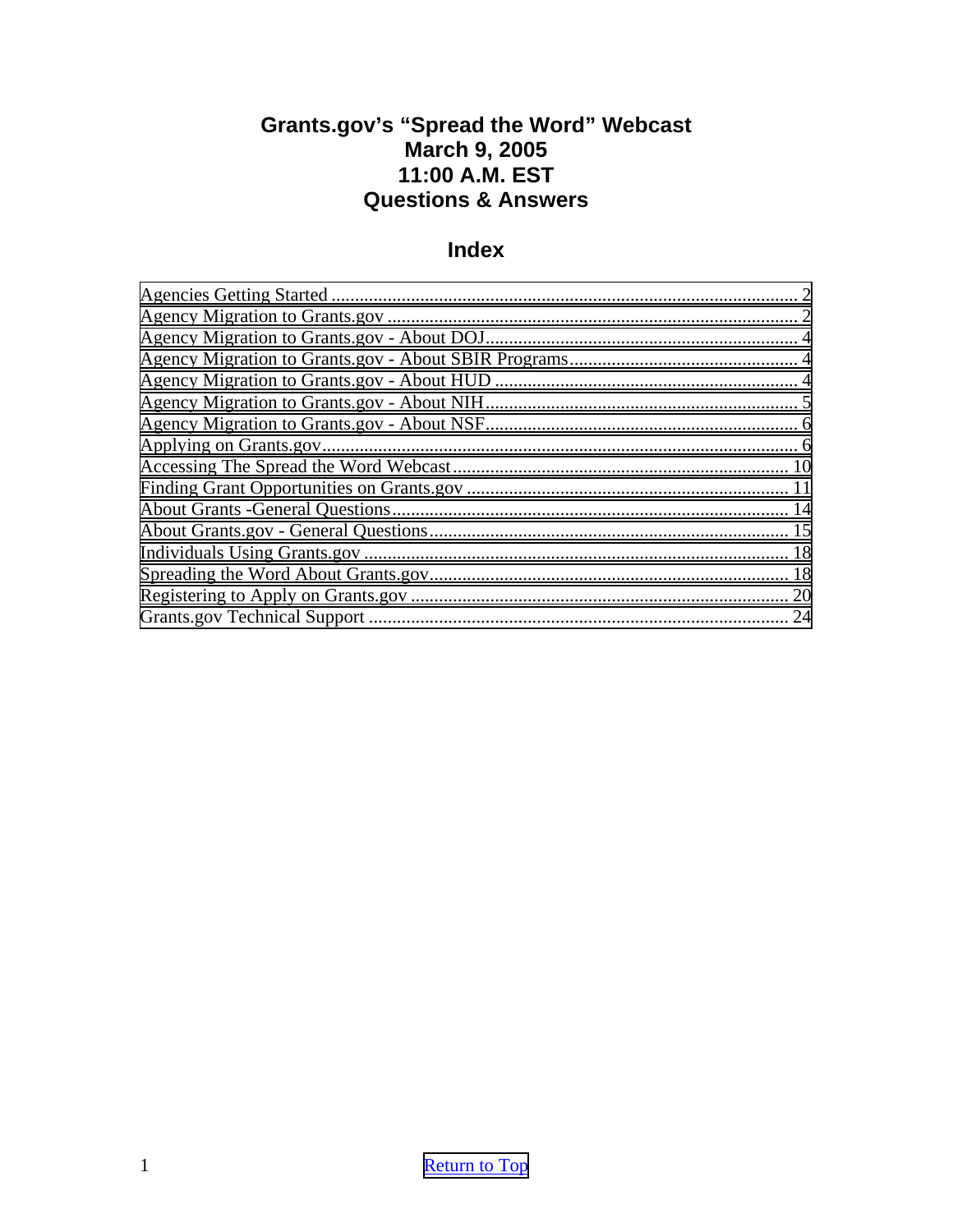## <span id="page-0-0"></span>**Grants.gov's "Spread the Word" Webcast March 9, 2005 11:00 A.M. EST Questions & Answers**

## **Index**

| $\mathcal{D}_{\mathcal{L}}$ |
|-----------------------------|
|                             |
|                             |
|                             |
|                             |
|                             |
|                             |
|                             |
|                             |
|                             |
|                             |
|                             |
|                             |
|                             |
| 20                          |
| 24                          |
|                             |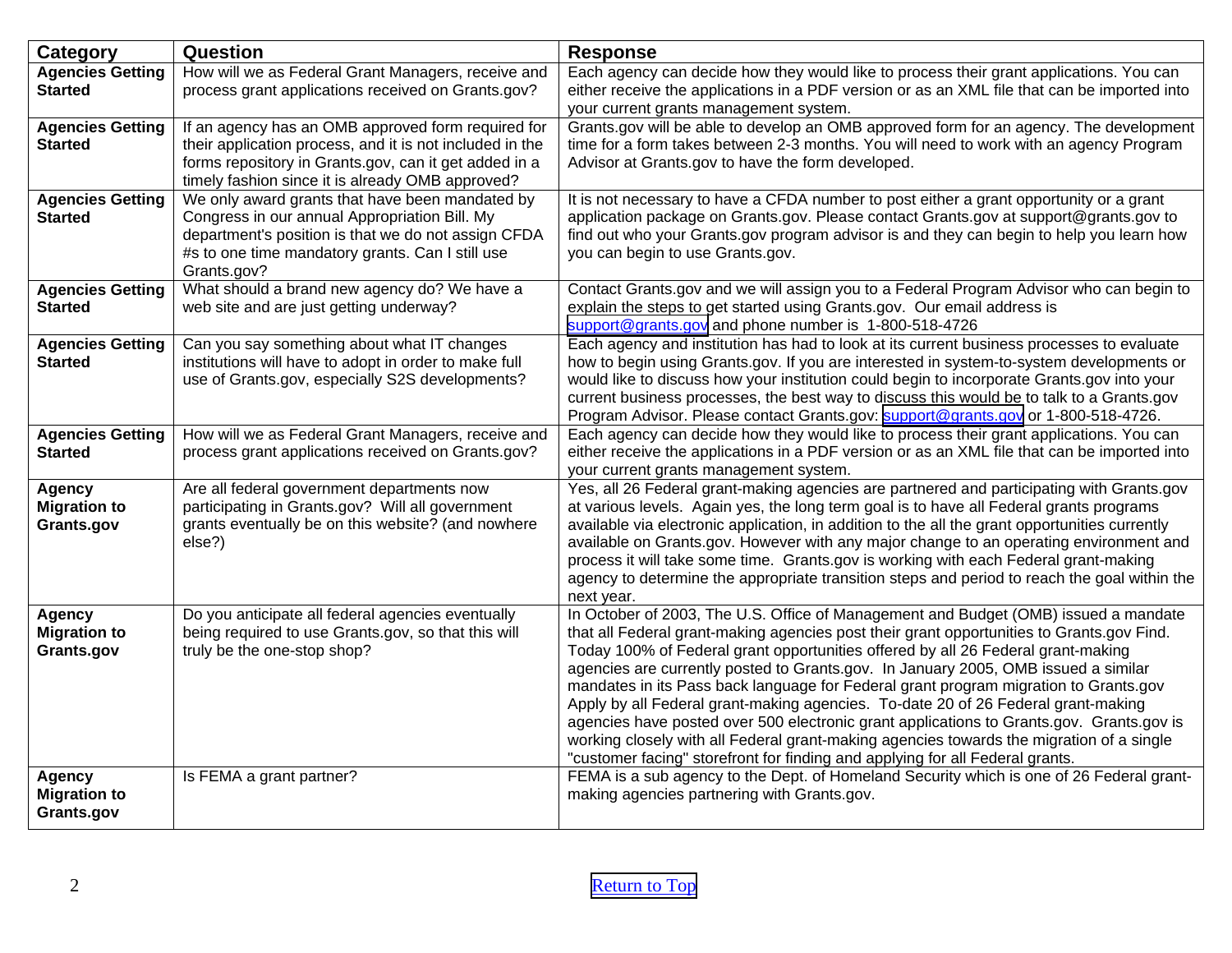<span id="page-1-0"></span>

| <b>Category</b>                                    | Question                                                                                                                                                                                                                    | <b>Response</b>                                                                                                                                                                                                                                                                                                                                                                                                                                                                                                                                                                                                                                                                                                                                                                                                  |
|----------------------------------------------------|-----------------------------------------------------------------------------------------------------------------------------------------------------------------------------------------------------------------------------|------------------------------------------------------------------------------------------------------------------------------------------------------------------------------------------------------------------------------------------------------------------------------------------------------------------------------------------------------------------------------------------------------------------------------------------------------------------------------------------------------------------------------------------------------------------------------------------------------------------------------------------------------------------------------------------------------------------------------------------------------------------------------------------------------------------|
| <b>Agencies Getting</b><br><b>Started</b>          | How will we as Federal Grant Managers, receive and<br>process grant applications received on Grants.gov?                                                                                                                    | Each agency can decide how they would like to process their grant applications. You can<br>either receive the applications in a PDF version or as an XML file that can be imported into<br>your current grants management system.                                                                                                                                                                                                                                                                                                                                                                                                                                                                                                                                                                                |
| <b>Agencies Getting</b><br><b>Started</b>          | If an agency has an OMB approved form required for<br>their application process, and it is not included in the<br>forms repository in Grants.gov, can it get added in a<br>timely fashion since it is already OMB approved? | Grants.gov will be able to develop an OMB approved form for an agency. The development<br>time for a form takes between 2-3 months. You will need to work with an agency Program<br>Advisor at Grants.gov to have the form developed.                                                                                                                                                                                                                                                                                                                                                                                                                                                                                                                                                                            |
| <b>Agencies Getting</b><br><b>Started</b>          | We only award grants that have been mandated by<br>Congress in our annual Appropriation Bill. My<br>department's position is that we do not assign CFDA<br>#s to one time mandatory grants. Can I still use<br>Grants.gov?  | It is not necessary to have a CFDA number to post either a grant opportunity or a grant<br>application package on Grants.gov. Please contact Grants.gov at support@grants.gov to<br>find out who your Grants.gov program advisor is and they can begin to help you learn how<br>you can begin to use Grants.gov.                                                                                                                                                                                                                                                                                                                                                                                                                                                                                                 |
| <b>Agencies Getting</b><br><b>Started</b>          | What should a brand new agency do? We have a<br>web site and are just getting underway?                                                                                                                                     | Contact Grants.gov and we will assign you to a Federal Program Advisor who can begin to<br>explain the steps to get started using Grants.gov. Our email address is<br>support@grants.gov and phone number is 1-800-518-4726                                                                                                                                                                                                                                                                                                                                                                                                                                                                                                                                                                                      |
| <b>Agencies Getting</b><br><b>Started</b>          | Can you say something about what IT changes<br>institutions will have to adopt in order to make full<br>use of Grants.gov, especially S2S developments?                                                                     | Each agency and institution has had to look at its current business processes to evaluate<br>how to begin using Grants.gov. If you are interested in system-to-system developments or<br>would like to discuss how your institution could begin to incorporate Grants.gov into your<br>current business processes, the best way to discuss this would be to talk to a Grants.gov<br>Program Advisor. Please contact Grants.gov: support@grants.gov or 1-800-518-4726.                                                                                                                                                                                                                                                                                                                                            |
| <b>Agencies Getting</b><br><b>Started</b>          | How will we as Federal Grant Managers, receive and<br>process grant applications received on Grants.gov?                                                                                                                    | Each agency can decide how they would like to process their grant applications. You can<br>either receive the applications in a PDF version or as an XML file that can be imported into<br>your current grants management system.                                                                                                                                                                                                                                                                                                                                                                                                                                                                                                                                                                                |
| <b>Agency</b><br><b>Migration to</b><br>Grants.gov | Are all federal government departments now<br>participating in Grants.gov? Will all government<br>grants eventually be on this website? (and nowhere<br>else?)                                                              | Yes, all 26 Federal grant-making agencies are partnered and participating with Grants.gov<br>at various levels. Again yes, the long term goal is to have all Federal grants programs<br>available via electronic application, in addition to the all the grant opportunities currently<br>available on Grants.gov. However with any major change to an operating environment and<br>process it will take some time. Grants.gov is working with each Federal grant-making<br>agency to determine the appropriate transition steps and period to reach the goal within the<br>next year.                                                                                                                                                                                                                           |
| Agency<br><b>Migration to</b><br>Grants.gov        | Do you anticipate all federal agencies eventually<br>being required to use Grants.gov, so that this will<br>truly be the one-stop shop?                                                                                     | In October of 2003, The U.S. Office of Management and Budget (OMB) issued a mandate<br>that all Federal grant-making agencies post their grant opportunities to Grants.gov Find.<br>Today 100% of Federal grant opportunities offered by all 26 Federal grant-making<br>agencies are currently posted to Grants.gov. In January 2005, OMB issued a similar<br>mandates in its Pass back language for Federal grant program migration to Grants.gov<br>Apply by all Federal grant-making agencies. To-date 20 of 26 Federal grant-making<br>agencies have posted over 500 electronic grant applications to Grants.gov. Grants.gov is<br>working closely with all Federal grant-making agencies towards the migration of a single<br>"customer facing" storefront for finding and applying for all Federal grants. |
| <b>Agency</b><br><b>Migration to</b><br>Grants.gov | Is FEMA a grant partner?                                                                                                                                                                                                    | FEMA is a sub agency to the Dept. of Homeland Security which is one of 26 Federal grant-<br>making agencies partnering with Grants.gov.                                                                                                                                                                                                                                                                                                                                                                                                                                                                                                                                                                                                                                                                          |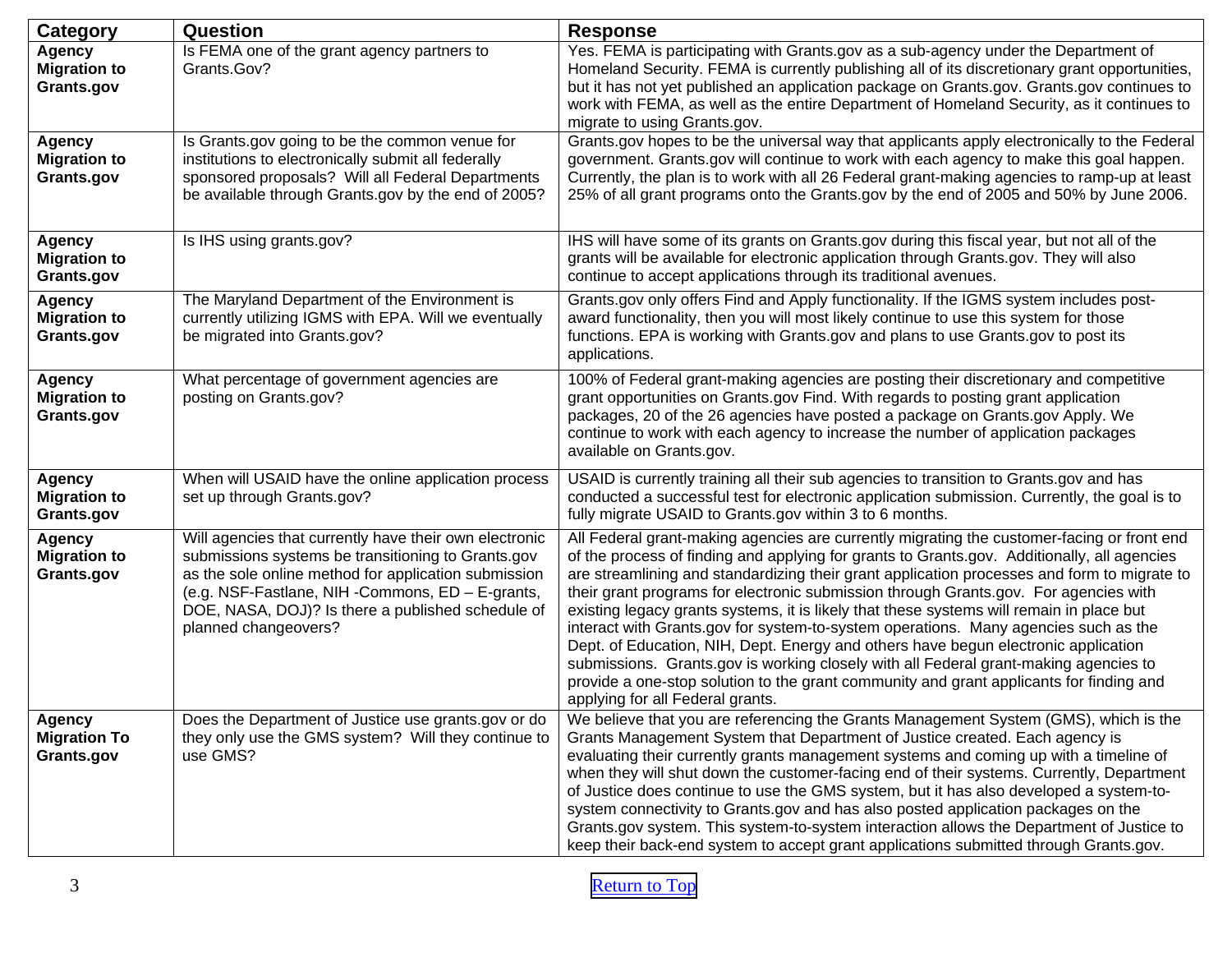| Category                                           | Question                                                                                                                                                                                                                                                                                              | <b>Response</b>                                                                                                                                                                                                                                                                                                                                                                                                                                                                                                                                                                                                                                                                                                                                                                                                                                                                  |
|----------------------------------------------------|-------------------------------------------------------------------------------------------------------------------------------------------------------------------------------------------------------------------------------------------------------------------------------------------------------|----------------------------------------------------------------------------------------------------------------------------------------------------------------------------------------------------------------------------------------------------------------------------------------------------------------------------------------------------------------------------------------------------------------------------------------------------------------------------------------------------------------------------------------------------------------------------------------------------------------------------------------------------------------------------------------------------------------------------------------------------------------------------------------------------------------------------------------------------------------------------------|
| <b>Agency</b><br><b>Migration to</b><br>Grants.gov | Is FEMA one of the grant agency partners to<br>Grants.Gov?                                                                                                                                                                                                                                            | Yes. FEMA is participating with Grants.gov as a sub-agency under the Department of<br>Homeland Security. FEMA is currently publishing all of its discretionary grant opportunities,<br>but it has not yet published an application package on Grants.gov. Grants.gov continues to<br>work with FEMA, as well as the entire Department of Homeland Security, as it continues to<br>migrate to using Grants.gov.                                                                                                                                                                                                                                                                                                                                                                                                                                                                   |
| Agency<br><b>Migration to</b><br>Grants.gov        | Is Grants.gov going to be the common venue for<br>institutions to electronically submit all federally<br>sponsored proposals? Will all Federal Departments<br>be available through Grants.gov by the end of 2005?                                                                                     | Grants.gov hopes to be the universal way that applicants apply electronically to the Federal<br>government. Grants.gov will continue to work with each agency to make this goal happen.<br>Currently, the plan is to work with all 26 Federal grant-making agencies to ramp-up at least<br>25% of all grant programs onto the Grants.gov by the end of 2005 and 50% by June 2006.                                                                                                                                                                                                                                                                                                                                                                                                                                                                                                |
| <b>Agency</b><br><b>Migration to</b><br>Grants.gov | Is IHS using grants.gov?                                                                                                                                                                                                                                                                              | IHS will have some of its grants on Grants.gov during this fiscal year, but not all of the<br>grants will be available for electronic application through Grants.gov. They will also<br>continue to accept applications through its traditional avenues.                                                                                                                                                                                                                                                                                                                                                                                                                                                                                                                                                                                                                         |
| <b>Agency</b><br><b>Migration to</b><br>Grants.gov | The Maryland Department of the Environment is<br>currently utilizing IGMS with EPA. Will we eventually<br>be migrated into Grants.gov?                                                                                                                                                                | Grants.gov only offers Find and Apply functionality. If the IGMS system includes post-<br>award functionality, then you will most likely continue to use this system for those<br>functions. EPA is working with Grants.gov and plans to use Grants.gov to post its<br>applications.                                                                                                                                                                                                                                                                                                                                                                                                                                                                                                                                                                                             |
| <b>Agency</b><br><b>Migration to</b><br>Grants.gov | What percentage of government agencies are<br>posting on Grants.gov?                                                                                                                                                                                                                                  | 100% of Federal grant-making agencies are posting their discretionary and competitive<br>grant opportunities on Grants.gov Find. With regards to posting grant application<br>packages, 20 of the 26 agencies have posted a package on Grants.gov Apply. We<br>continue to work with each agency to increase the number of application packages<br>available on Grants.gov.                                                                                                                                                                                                                                                                                                                                                                                                                                                                                                      |
| <b>Agency</b><br><b>Migration to</b><br>Grants.gov | When will USAID have the online application process<br>set up through Grants.gov?                                                                                                                                                                                                                     | USAID is currently training all their sub agencies to transition to Grants.gov and has<br>conducted a successful test for electronic application submission. Currently, the goal is to<br>fully migrate USAID to Grants.gov within 3 to 6 months.                                                                                                                                                                                                                                                                                                                                                                                                                                                                                                                                                                                                                                |
| <b>Agency</b><br><b>Migration to</b><br>Grants.gov | Will agencies that currently have their own electronic<br>submissions systems be transitioning to Grants.gov<br>as the sole online method for application submission<br>(e.g. NSF-Fastlane, NIH -Commons, ED - E-grants,<br>DOE, NASA, DOJ)? Is there a published schedule of<br>planned changeovers? | All Federal grant-making agencies are currently migrating the customer-facing or front end<br>of the process of finding and applying for grants to Grants.gov. Additionally, all agencies<br>are streamlining and standardizing their grant application processes and form to migrate to<br>their grant programs for electronic submission through Grants.gov. For agencies with<br>existing legacy grants systems, it is likely that these systems will remain in place but<br>interact with Grants.gov for system-to-system operations. Many agencies such as the<br>Dept. of Education, NIH, Dept. Energy and others have begun electronic application<br>submissions. Grants.gov is working closely with all Federal grant-making agencies to<br>provide a one-stop solution to the grant community and grant applicants for finding and<br>applying for all Federal grants. |
| Agency<br><b>Migration To</b><br>Grants.gov        | Does the Department of Justice use grants.gov or do<br>they only use the GMS system? Will they continue to<br>use GMS?                                                                                                                                                                                | We believe that you are referencing the Grants Management System (GMS), which is the<br>Grants Management System that Department of Justice created. Each agency is<br>evaluating their currently grants management systems and coming up with a timeline of<br>when they will shut down the customer-facing end of their systems. Currently, Department<br>of Justice does continue to use the GMS system, but it has also developed a system-to-<br>system connectivity to Grants.gov and has also posted application packages on the<br>Grants.gov system. This system-to-system interaction allows the Department of Justice to<br>keep their back-end system to accept grant applications submitted through Grants.gov.                                                                                                                                                     |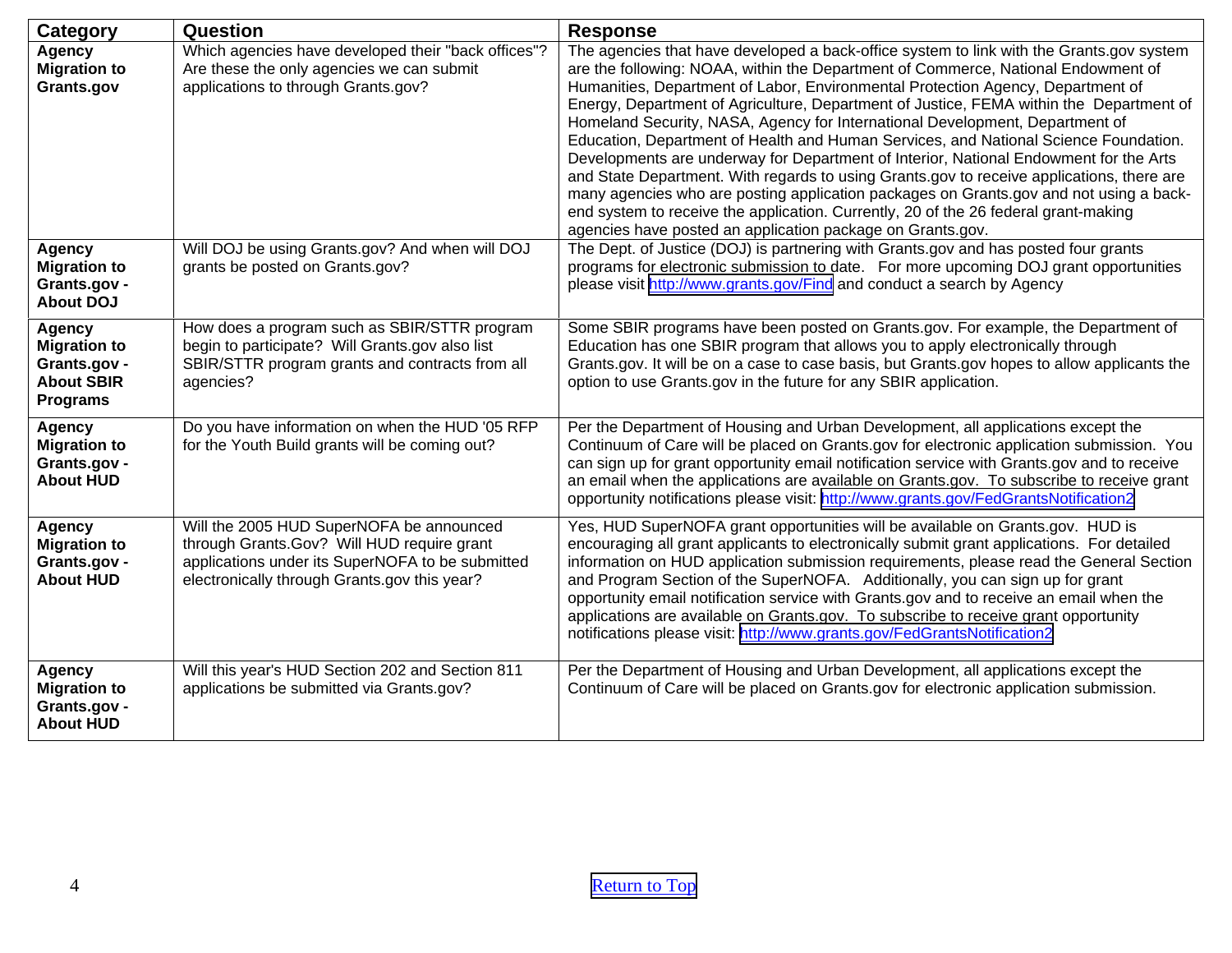<span id="page-3-0"></span>

| Category                                                                                     | Question                                                                                                                                                                                   | <b>Response</b>                                                                                                                                                                                                                                                                                                                                                                                                                                                                                                                                                                                                                                                                                                                                                                                                                                                                                                                                                          |
|----------------------------------------------------------------------------------------------|--------------------------------------------------------------------------------------------------------------------------------------------------------------------------------------------|--------------------------------------------------------------------------------------------------------------------------------------------------------------------------------------------------------------------------------------------------------------------------------------------------------------------------------------------------------------------------------------------------------------------------------------------------------------------------------------------------------------------------------------------------------------------------------------------------------------------------------------------------------------------------------------------------------------------------------------------------------------------------------------------------------------------------------------------------------------------------------------------------------------------------------------------------------------------------|
| <b>Agency</b><br><b>Migration to</b><br>Grants.gov                                           | Which agencies have developed their "back offices"?<br>Are these the only agencies we can submit<br>applications to through Grants.gov?                                                    | The agencies that have developed a back-office system to link with the Grants.gov system<br>are the following: NOAA, within the Department of Commerce, National Endowment of<br>Humanities, Department of Labor, Environmental Protection Agency, Department of<br>Energy, Department of Agriculture, Department of Justice, FEMA within the Department of<br>Homeland Security, NASA, Agency for International Development, Department of<br>Education, Department of Health and Human Services, and National Science Foundation.<br>Developments are underway for Department of Interior, National Endowment for the Arts<br>and State Department. With regards to using Grants.gov to receive applications, there are<br>many agencies who are posting application packages on Grants.gov and not using a back-<br>end system to receive the application. Currently, 20 of the 26 federal grant-making<br>agencies have posted an application package on Grants.gov. |
| <b>Agency</b><br><b>Migration to</b><br>Grants.gov -<br><b>About DOJ</b>                     | Will DOJ be using Grants.gov? And when will DOJ<br>grants be posted on Grants.gov?                                                                                                         | The Dept. of Justice (DOJ) is partnering with Grants.gov and has posted four grants<br>programs for electronic submission to date. For more upcoming DOJ grant opportunities<br>please visit http://www.grants.gov/Find and conduct a search by Agency                                                                                                                                                                                                                                                                                                                                                                                                                                                                                                                                                                                                                                                                                                                   |
| <b>Agency</b><br><b>Migration to</b><br>Grants.gov -<br><b>About SBIR</b><br><b>Programs</b> | How does a program such as SBIR/STTR program<br>begin to participate? Will Grants.gov also list<br>SBIR/STTR program grants and contracts from all<br>agencies?                            | Some SBIR programs have been posted on Grants.gov. For example, the Department of<br>Education has one SBIR program that allows you to apply electronically through<br>Grants.gov. It will be on a case to case basis, but Grants.gov hopes to allow applicants the<br>option to use Grants.gov in the future for any SBIR application.                                                                                                                                                                                                                                                                                                                                                                                                                                                                                                                                                                                                                                  |
| <b>Agency</b><br><b>Migration to</b><br>Grants.gov -<br><b>About HUD</b>                     | Do you have information on when the HUD '05 RFP<br>for the Youth Build grants will be coming out?                                                                                          | Per the Department of Housing and Urban Development, all applications except the<br>Continuum of Care will be placed on Grants.gov for electronic application submission. You<br>can sign up for grant opportunity email notification service with Grants.gov and to receive<br>an email when the applications are available on Grants.gov. To subscribe to receive grant<br>opportunity notifications please visit: http://www.grants.gov/FedGrantsNotification2                                                                                                                                                                                                                                                                                                                                                                                                                                                                                                        |
| <b>Agency</b><br><b>Migration to</b><br>Grants.gov -<br><b>About HUD</b>                     | Will the 2005 HUD SuperNOFA be announced<br>through Grants.Gov? Will HUD require grant<br>applications under its SuperNOFA to be submitted<br>electronically through Grants.gov this year? | Yes, HUD SuperNOFA grant opportunities will be available on Grants.gov. HUD is<br>encouraging all grant applicants to electronically submit grant applications. For detailed<br>information on HUD application submission requirements, please read the General Section<br>and Program Section of the SuperNOFA. Additionally, you can sign up for grant<br>opportunity email notification service with Grants.gov and to receive an email when the<br>applications are available on Grants.gov. To subscribe to receive grant opportunity<br>notifications please visit: http://www.grants.gov/FedGrantsNotification2                                                                                                                                                                                                                                                                                                                                                   |
| <b>Agency</b><br><b>Migration to</b><br>Grants.gov -<br><b>About HUD</b>                     | Will this year's HUD Section 202 and Section 811<br>applications be submitted via Grants.gov?                                                                                              | Per the Department of Housing and Urban Development, all applications except the<br>Continuum of Care will be placed on Grants.gov for electronic application submission.                                                                                                                                                                                                                                                                                                                                                                                                                                                                                                                                                                                                                                                                                                                                                                                                |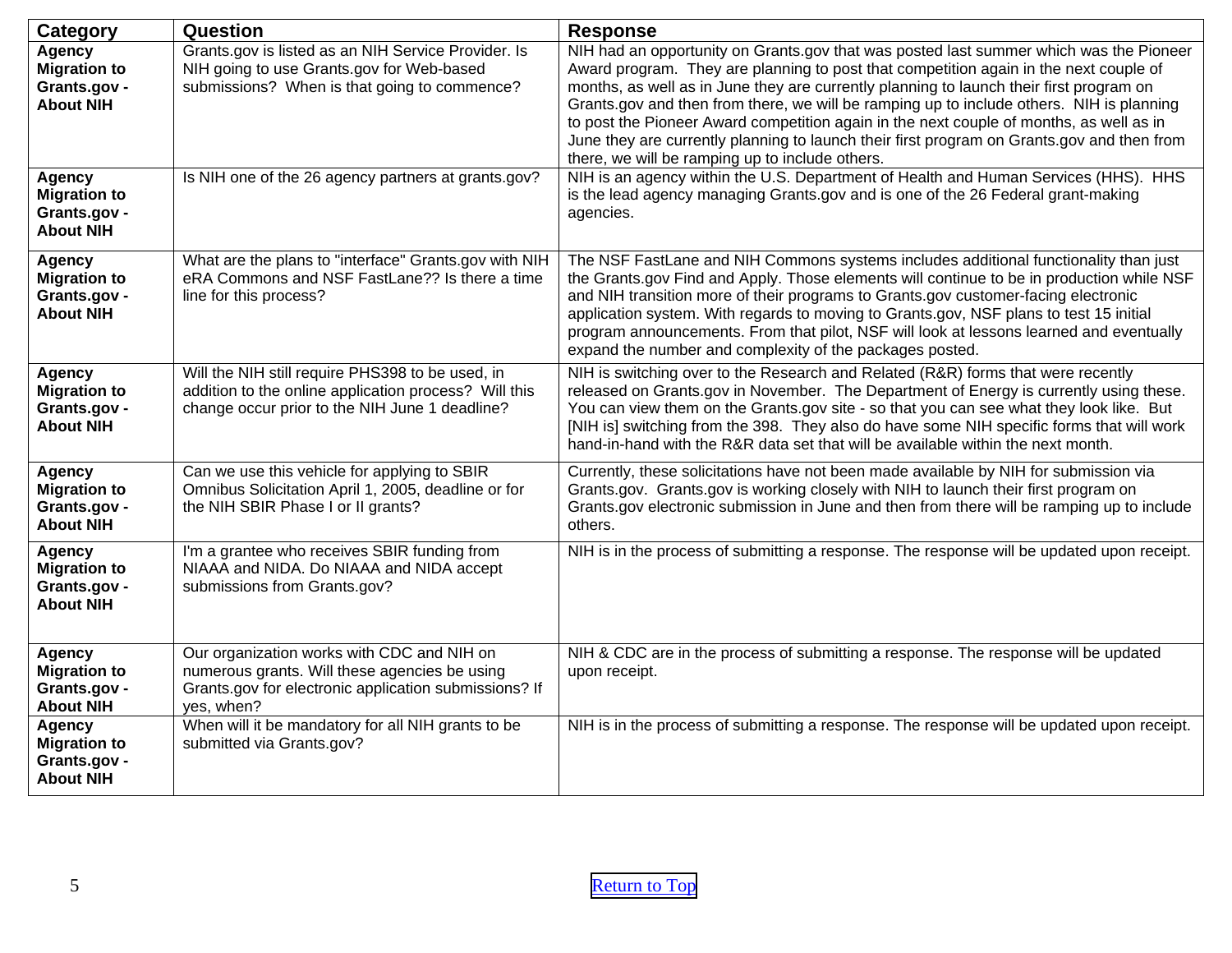<span id="page-4-0"></span>

| <b>Category</b>                                                          | Question                                                                                                                                                           | <b>Response</b>                                                                                                                                                                                                                                                                                                                                                                                                                                                                                                                                                                                                    |
|--------------------------------------------------------------------------|--------------------------------------------------------------------------------------------------------------------------------------------------------------------|--------------------------------------------------------------------------------------------------------------------------------------------------------------------------------------------------------------------------------------------------------------------------------------------------------------------------------------------------------------------------------------------------------------------------------------------------------------------------------------------------------------------------------------------------------------------------------------------------------------------|
| <b>Agency</b><br><b>Migration to</b><br>Grants.gov -<br><b>About NIH</b> | Grants.gov is listed as an NIH Service Provider. Is<br>NIH going to use Grants.gov for Web-based<br>submissions? When is that going to commence?                   | NIH had an opportunity on Grants.gov that was posted last summer which was the Pioneer<br>Award program. They are planning to post that competition again in the next couple of<br>months, as well as in June they are currently planning to launch their first program on<br>Grants.gov and then from there, we will be ramping up to include others. NIH is planning<br>to post the Pioneer Award competition again in the next couple of months, as well as in<br>June they are currently planning to launch their first program on Grants.gov and then from<br>there, we will be ramping up to include others. |
| <b>Agency</b><br><b>Migration to</b><br>Grants.gov -<br><b>About NIH</b> | Is NIH one of the 26 agency partners at grants.gov?                                                                                                                | NIH is an agency within the U.S. Department of Health and Human Services (HHS). HHS<br>is the lead agency managing Grants.gov and is one of the 26 Federal grant-making<br>agencies.                                                                                                                                                                                                                                                                                                                                                                                                                               |
| Agency<br><b>Migration to</b><br>Grants.gov -<br><b>About NIH</b>        | What are the plans to "interface" Grants.gov with NIH<br>eRA Commons and NSF FastLane?? Is there a time<br>line for this process?                                  | The NSF FastLane and NIH Commons systems includes additional functionality than just<br>the Grants.gov Find and Apply. Those elements will continue to be in production while NSF<br>and NIH transition more of their programs to Grants.gov customer-facing electronic<br>application system. With regards to moving to Grants.gov, NSF plans to test 15 initial<br>program announcements. From that pilot, NSF will look at lessons learned and eventually<br>expand the number and complexity of the packages posted.                                                                                           |
| <b>Agency</b><br><b>Migration to</b><br>Grants.gov -<br><b>About NIH</b> | Will the NIH still require PHS398 to be used, in<br>addition to the online application process? Will this<br>change occur prior to the NIH June 1 deadline?        | NIH is switching over to the Research and Related (R&R) forms that were recently<br>released on Grants.gov in November. The Department of Energy is currently using these.<br>You can view them on the Grants.gov site - so that you can see what they look like. But<br>[NIH is] switching from the 398. They also do have some NIH specific forms that will work<br>hand-in-hand with the R&R data set that will be available within the next month.                                                                                                                                                             |
| Agency<br><b>Migration to</b><br>Grants.gov -<br><b>About NIH</b>        | Can we use this vehicle for applying to SBIR<br>Omnibus Solicitation April 1, 2005, deadline or for<br>the NIH SBIR Phase I or II grants?                          | Currently, these solicitations have not been made available by NIH for submission via<br>Grants.gov. Grants.gov is working closely with NIH to launch their first program on<br>Grants.gov electronic submission in June and then from there will be ramping up to include<br>others.                                                                                                                                                                                                                                                                                                                              |
| Agency<br><b>Migration to</b><br>Grants.gov -<br><b>About NIH</b>        | I'm a grantee who receives SBIR funding from<br>NIAAA and NIDA. Do NIAAA and NIDA accept<br>submissions from Grants.gov?                                           | NIH is in the process of submitting a response. The response will be updated upon receipt.                                                                                                                                                                                                                                                                                                                                                                                                                                                                                                                         |
| Agency<br><b>Migration to</b><br>Grants.gov -<br><b>About NIH</b>        | Our organization works with CDC and NIH on<br>numerous grants. Will these agencies be using<br>Grants.gov for electronic application submissions? If<br>yes, when? | NIH & CDC are in the process of submitting a response. The response will be updated<br>upon receipt.                                                                                                                                                                                                                                                                                                                                                                                                                                                                                                               |
| <b>Agency</b><br><b>Migration to</b><br>Grants.gov -<br><b>About NIH</b> | When will it be mandatory for all NIH grants to be<br>submitted via Grants.gov?                                                                                    | NIH is in the process of submitting a response. The response will be updated upon receipt.                                                                                                                                                                                                                                                                                                                                                                                                                                                                                                                         |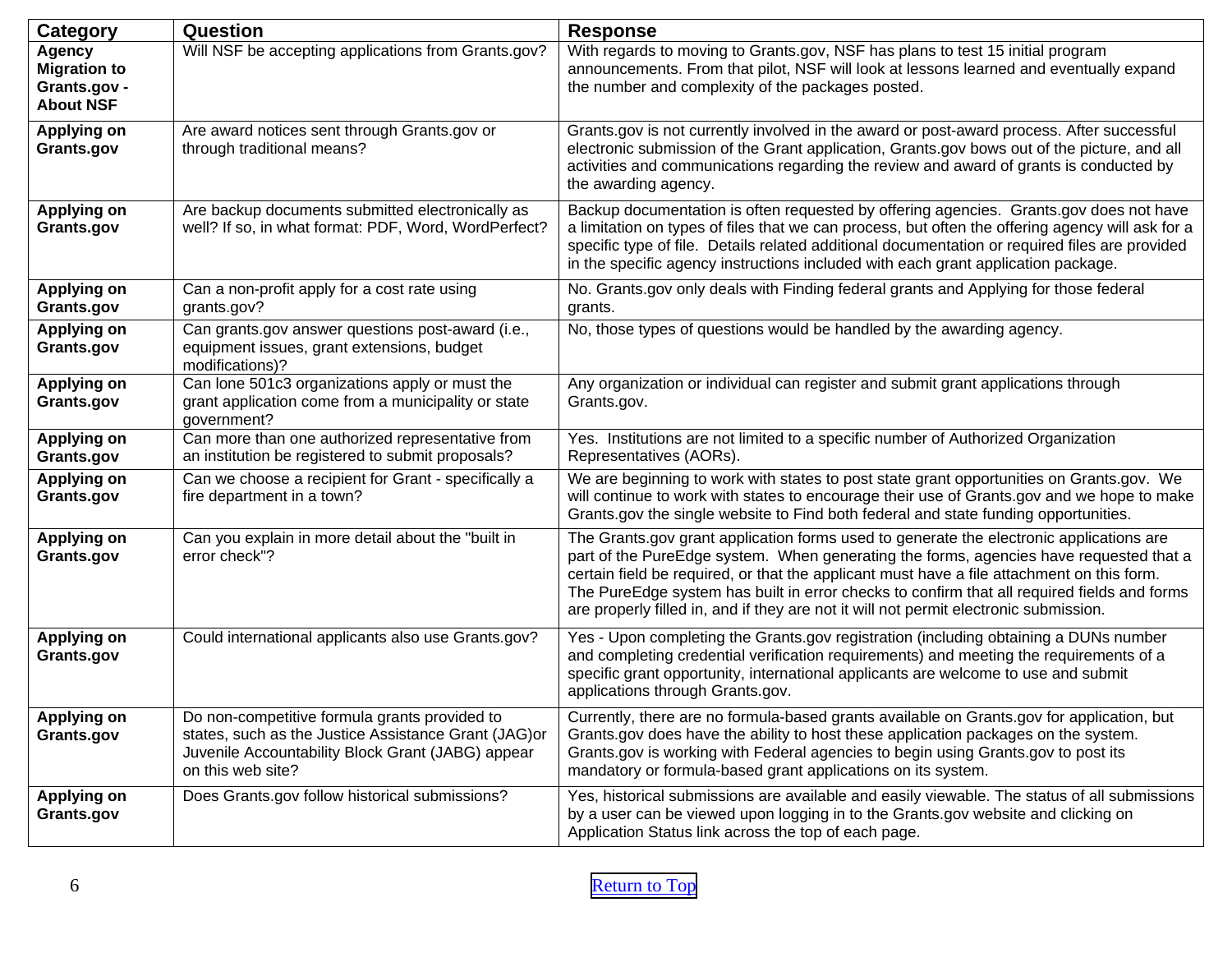<span id="page-5-0"></span>

| Category                                                                 | <b>Question</b>                                                                                                                                                                  | <b>Response</b>                                                                                                                                                                                                                                                                                                                                                                                                                                                         |
|--------------------------------------------------------------------------|----------------------------------------------------------------------------------------------------------------------------------------------------------------------------------|-------------------------------------------------------------------------------------------------------------------------------------------------------------------------------------------------------------------------------------------------------------------------------------------------------------------------------------------------------------------------------------------------------------------------------------------------------------------------|
| <b>Agency</b><br><b>Migration to</b><br>Grants.gov -<br><b>About NSF</b> | Will NSF be accepting applications from Grants.gov?                                                                                                                              | With regards to moving to Grants.gov, NSF has plans to test 15 initial program<br>announcements. From that pilot, NSF will look at lessons learned and eventually expand<br>the number and complexity of the packages posted.                                                                                                                                                                                                                                           |
| <b>Applying on</b><br>Grants.gov                                         | Are award notices sent through Grants.gov or<br>through traditional means?                                                                                                       | Grants.gov is not currently involved in the award or post-award process. After successful<br>electronic submission of the Grant application, Grants.gov bows out of the picture, and all<br>activities and communications regarding the review and award of grants is conducted by<br>the awarding agency.                                                                                                                                                              |
| <b>Applying on</b><br>Grants.gov                                         | Are backup documents submitted electronically as<br>well? If so, in what format: PDF, Word, WordPerfect?                                                                         | Backup documentation is often requested by offering agencies. Grants.gov does not have<br>a limitation on types of files that we can process, but often the offering agency will ask for a<br>specific type of file. Details related additional documentation or required files are provided<br>in the specific agency instructions included with each grant application package.                                                                                       |
| <b>Applying on</b><br>Grants.gov                                         | Can a non-profit apply for a cost rate using<br>grants.gov?                                                                                                                      | No. Grants.gov only deals with Finding federal grants and Applying for those federal<br>grants.                                                                                                                                                                                                                                                                                                                                                                         |
| <b>Applying on</b><br>Grants.gov                                         | Can grants.gov answer questions post-award (i.e.,<br>equipment issues, grant extensions, budget<br>modifications)?                                                               | No, those types of questions would be handled by the awarding agency.                                                                                                                                                                                                                                                                                                                                                                                                   |
| <b>Applying on</b><br>Grants.gov                                         | Can lone 501c3 organizations apply or must the<br>grant application come from a municipality or state<br>government?                                                             | Any organization or individual can register and submit grant applications through<br>Grants.gov.                                                                                                                                                                                                                                                                                                                                                                        |
| <b>Applying on</b><br>Grants.gov                                         | Can more than one authorized representative from<br>an institution be registered to submit proposals?                                                                            | Yes. Institutions are not limited to a specific number of Authorized Organization<br>Representatives (AORs).                                                                                                                                                                                                                                                                                                                                                            |
| <b>Applying on</b><br>Grants.gov                                         | Can we choose a recipient for Grant - specifically a<br>fire department in a town?                                                                                               | We are beginning to work with states to post state grant opportunities on Grants.gov. We<br>will continue to work with states to encourage their use of Grants.gov and we hope to make<br>Grants.gov the single website to Find both federal and state funding opportunities.                                                                                                                                                                                           |
| <b>Applying on</b><br>Grants.gov                                         | Can you explain in more detail about the "built in<br>error check"?                                                                                                              | The Grants gov grant application forms used to generate the electronic applications are<br>part of the PureEdge system. When generating the forms, agencies have requested that a<br>certain field be required, or that the applicant must have a file attachment on this form.<br>The PureEdge system has built in error checks to confirm that all required fields and forms<br>are properly filled in, and if they are not it will not permit electronic submission. |
| <b>Applying on</b><br>Grants.gov                                         | Could international applicants also use Grants.gov?                                                                                                                              | Yes - Upon completing the Grants.gov registration (including obtaining a DUNs number<br>and completing credential verification requirements) and meeting the requirements of a<br>specific grant opportunity, international applicants are welcome to use and submit<br>applications through Grants.gov.                                                                                                                                                                |
| <b>Applying on</b><br>Grants.gov                                         | Do non-competitive formula grants provided to<br>states, such as the Justice Assistance Grant (JAG) or<br>Juvenile Accountability Block Grant (JABG) appear<br>on this web site? | Currently, there are no formula-based grants available on Grants.gov for application, but<br>Grants.gov does have the ability to host these application packages on the system.<br>Grants.gov is working with Federal agencies to begin using Grants.gov to post its<br>mandatory or formula-based grant applications on its system.                                                                                                                                    |
| <b>Applying on</b><br>Grants.gov                                         | Does Grants.gov follow historical submissions?                                                                                                                                   | Yes, historical submissions are available and easily viewable. The status of all submissions<br>by a user can be viewed upon logging in to the Grants.gov website and clicking on<br>Application Status link across the top of each page.                                                                                                                                                                                                                               |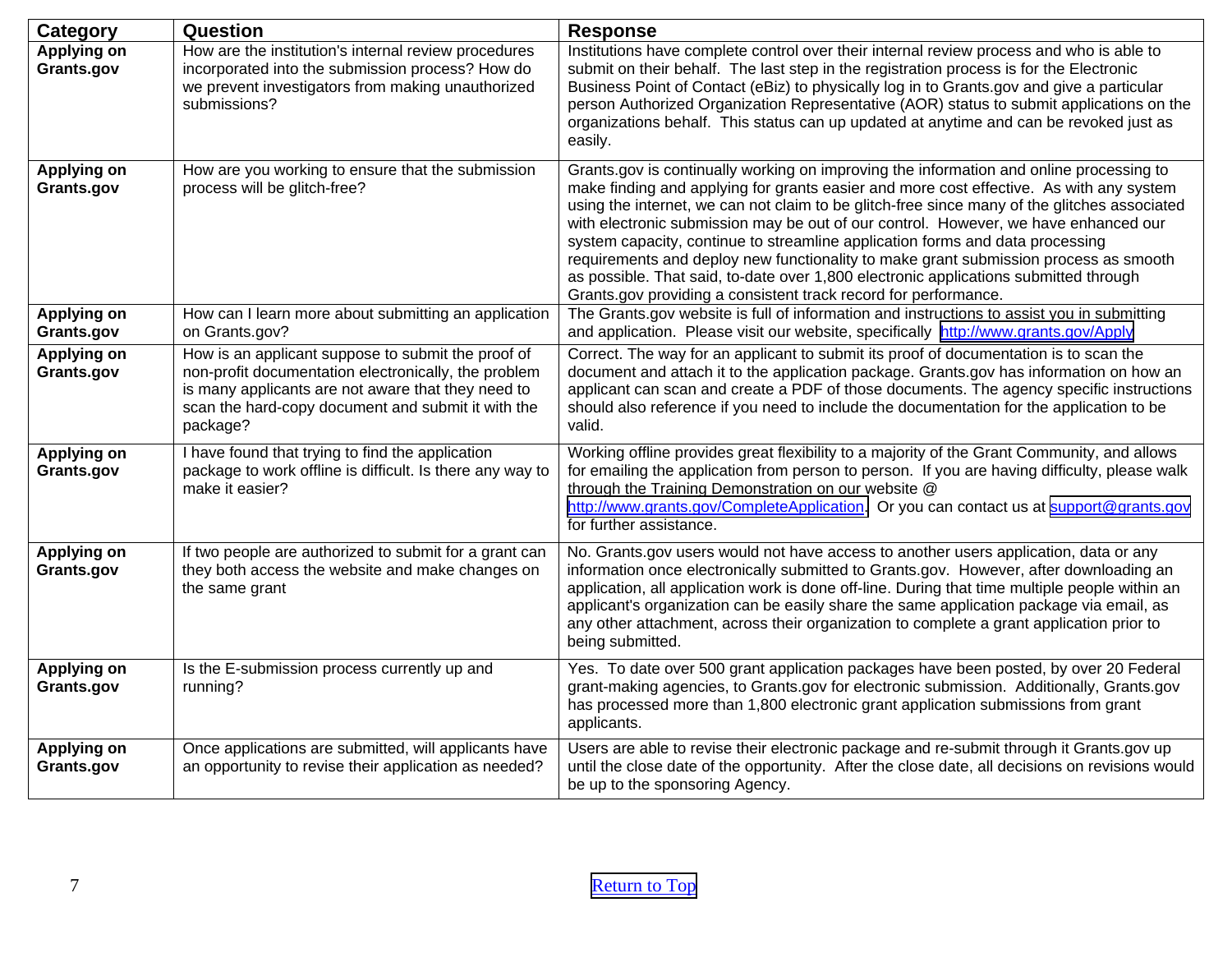| Category                         | Question                                                                                                                                                                                                                           | <b>Response</b>                                                                                                                                                                                                                                                                                                                                                                                                                                                                                                                                                                                                                                                                                               |
|----------------------------------|------------------------------------------------------------------------------------------------------------------------------------------------------------------------------------------------------------------------------------|---------------------------------------------------------------------------------------------------------------------------------------------------------------------------------------------------------------------------------------------------------------------------------------------------------------------------------------------------------------------------------------------------------------------------------------------------------------------------------------------------------------------------------------------------------------------------------------------------------------------------------------------------------------------------------------------------------------|
| <b>Applying on</b><br>Grants.gov | How are the institution's internal review procedures<br>incorporated into the submission process? How do<br>we prevent investigators from making unauthorized<br>submissions?                                                      | Institutions have complete control over their internal review process and who is able to<br>submit on their behalf. The last step in the registration process is for the Electronic<br>Business Point of Contact (eBiz) to physically log in to Grants.gov and give a particular<br>person Authorized Organization Representative (AOR) status to submit applications on the<br>organizations behalf. This status can up updated at anytime and can be revoked just as<br>easily.                                                                                                                                                                                                                             |
| <b>Applying on</b><br>Grants.gov | How are you working to ensure that the submission<br>process will be glitch-free?                                                                                                                                                  | Grants.gov is continually working on improving the information and online processing to<br>make finding and applying for grants easier and more cost effective. As with any system<br>using the internet, we can not claim to be glitch-free since many of the glitches associated<br>with electronic submission may be out of our control. However, we have enhanced our<br>system capacity, continue to streamline application forms and data processing<br>requirements and deploy new functionality to make grant submission process as smooth<br>as possible. That said, to-date over 1,800 electronic applications submitted through<br>Grants.gov providing a consistent track record for performance. |
| <b>Applying on</b><br>Grants.gov | How can I learn more about submitting an application<br>on Grants.gov?                                                                                                                                                             | The Grants.gov website is full of information and instructions to assist you in submitting<br>and application. Please visit our website, specifically http://www.grants.gov/Apply                                                                                                                                                                                                                                                                                                                                                                                                                                                                                                                             |
| <b>Applying on</b><br>Grants.gov | How is an applicant suppose to submit the proof of<br>non-profit documentation electronically, the problem<br>is many applicants are not aware that they need to<br>scan the hard-copy document and submit it with the<br>package? | Correct. The way for an applicant to submit its proof of documentation is to scan the<br>document and attach it to the application package. Grants.gov has information on how an<br>applicant can scan and create a PDF of those documents. The agency specific instructions<br>should also reference if you need to include the documentation for the application to be<br>valid.                                                                                                                                                                                                                                                                                                                            |
| <b>Applying on</b><br>Grants.gov | I have found that trying to find the application<br>package to work offline is difficult. Is there any way to<br>make it easier?                                                                                                   | Working offline provides great flexibility to a majority of the Grant Community, and allows<br>for emailing the application from person to person. If you are having difficulty, please walk<br>through the Training Demonstration on our website @<br>http://www.grants.gov/CompleteApplication. Or you can contact us at support@grants.gov<br>for further assistance.                                                                                                                                                                                                                                                                                                                                      |
| <b>Applying on</b><br>Grants.gov | If two people are authorized to submit for a grant can<br>they both access the website and make changes on<br>the same grant                                                                                                       | No. Grants.gov users would not have access to another users application, data or any<br>information once electronically submitted to Grants.gov. However, after downloading an<br>application, all application work is done off-line. During that time multiple people within an<br>applicant's organization can be easily share the same application package via email, as<br>any other attachment, across their organization to complete a grant application prior to<br>being submitted.                                                                                                                                                                                                                   |
| <b>Applying on</b><br>Grants.gov | Is the E-submission process currently up and<br>running?                                                                                                                                                                           | Yes. To date over 500 grant application packages have been posted, by over 20 Federal<br>grant-making agencies, to Grants.gov for electronic submission. Additionally, Grants.gov<br>has processed more than 1,800 electronic grant application submissions from grant<br>applicants.                                                                                                                                                                                                                                                                                                                                                                                                                         |
| <b>Applying on</b><br>Grants.gov | Once applications are submitted, will applicants have<br>an opportunity to revise their application as needed?                                                                                                                     | Users are able to revise their electronic package and re-submit through it Grants.gov up<br>until the close date of the opportunity. After the close date, all decisions on revisions would<br>be up to the sponsoring Agency.                                                                                                                                                                                                                                                                                                                                                                                                                                                                                |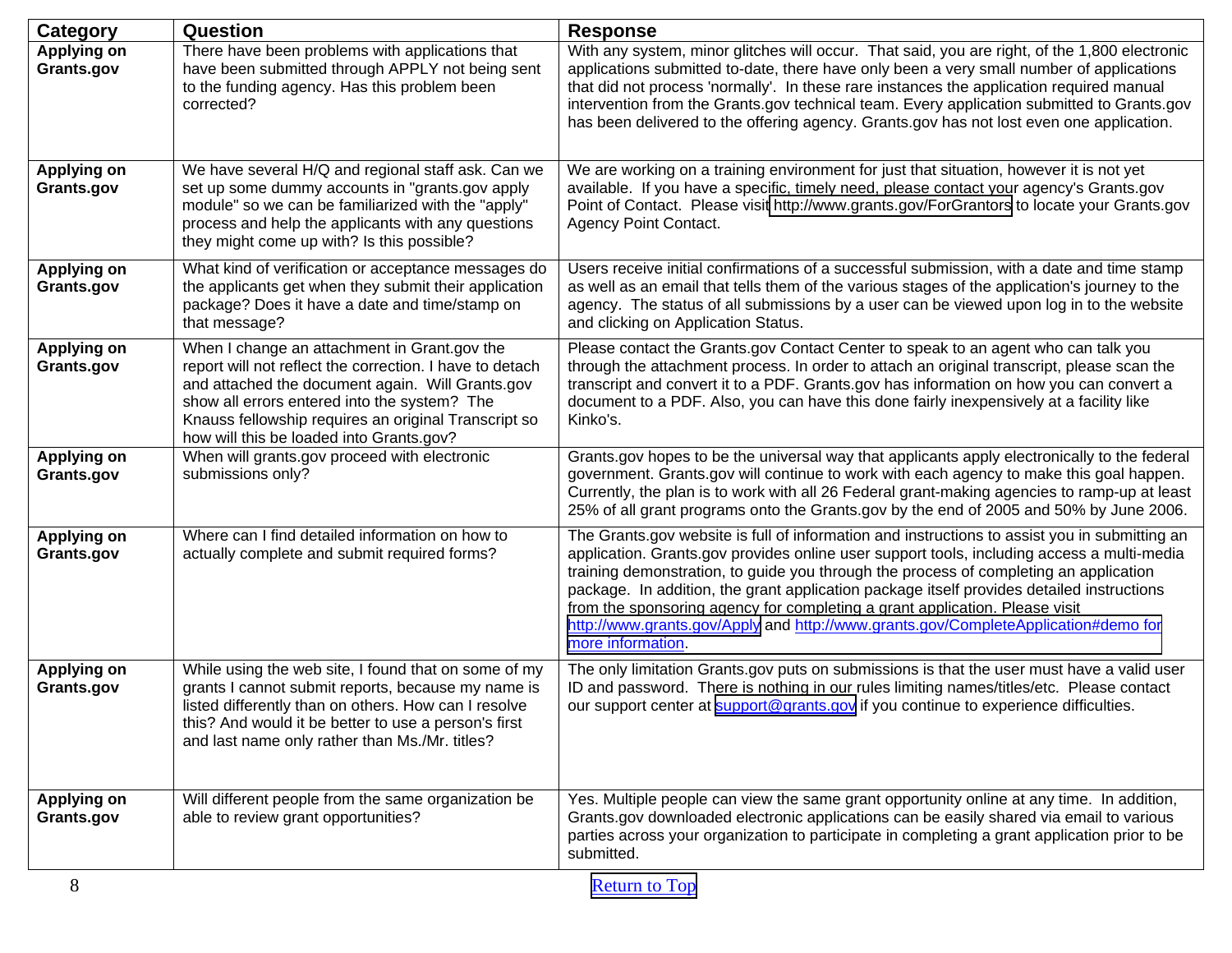| <b>Category</b>                  | Question                                                                                                                                                                                                                                                                                                         | <b>Response</b>                                                                                                                                                                                                                                                                                                                                                                                                                                                                                                                                                             |
|----------------------------------|------------------------------------------------------------------------------------------------------------------------------------------------------------------------------------------------------------------------------------------------------------------------------------------------------------------|-----------------------------------------------------------------------------------------------------------------------------------------------------------------------------------------------------------------------------------------------------------------------------------------------------------------------------------------------------------------------------------------------------------------------------------------------------------------------------------------------------------------------------------------------------------------------------|
| <b>Applying on</b><br>Grants.gov | There have been problems with applications that<br>have been submitted through APPLY not being sent<br>to the funding agency. Has this problem been<br>corrected?                                                                                                                                                | With any system, minor glitches will occur. That said, you are right, of the 1,800 electronic<br>applications submitted to-date, there have only been a very small number of applications<br>that did not process 'normally'. In these rare instances the application required manual<br>intervention from the Grants.gov technical team. Every application submitted to Grants.gov<br>has been delivered to the offering agency. Grants.gov has not lost even one application.                                                                                             |
| <b>Applying on</b><br>Grants.gov | We have several H/Q and regional staff ask. Can we<br>set up some dummy accounts in "grants.gov apply<br>module" so we can be familiarized with the "apply"<br>process and help the applicants with any questions<br>they might come up with? Is this possible?                                                  | We are working on a training environment for just that situation, however it is not yet<br>available. If you have a specific, timely need, please contact your agency's Grants.gov<br>Point of Contact. Please visit http://www.grants.gov/ForGrantors to locate your Grants.gov<br><b>Agency Point Contact.</b>                                                                                                                                                                                                                                                            |
| <b>Applying on</b><br>Grants.gov | What kind of verification or acceptance messages do<br>the applicants get when they submit their application<br>package? Does it have a date and time/stamp on<br>that message?                                                                                                                                  | Users receive initial confirmations of a successful submission, with a date and time stamp<br>as well as an email that tells them of the various stages of the application's journey to the<br>agency. The status of all submissions by a user can be viewed upon log in to the website<br>and clicking on Application Status.                                                                                                                                                                                                                                              |
| <b>Applying on</b><br>Grants.gov | When I change an attachment in Grant.gov the<br>report will not reflect the correction. I have to detach<br>and attached the document again. Will Grants.gov<br>show all errors entered into the system? The<br>Knauss fellowship requires an original Transcript so<br>how will this be loaded into Grants.gov? | Please contact the Grants.gov Contact Center to speak to an agent who can talk you<br>through the attachment process. In order to attach an original transcript, please scan the<br>transcript and convert it to a PDF. Grants.gov has information on how you can convert a<br>document to a PDF. Also, you can have this done fairly inexpensively at a facility like<br>Kinko's.                                                                                                                                                                                          |
| <b>Applying on</b><br>Grants.gov | When will grants.gov proceed with electronic<br>submissions only?                                                                                                                                                                                                                                                | Grants.gov hopes to be the universal way that applicants apply electronically to the federal<br>government. Grants.gov will continue to work with each agency to make this goal happen.<br>Currently, the plan is to work with all 26 Federal grant-making agencies to ramp-up at least<br>25% of all grant programs onto the Grants.gov by the end of 2005 and 50% by June 2006.                                                                                                                                                                                           |
| <b>Applying on</b><br>Grants.gov | Where can I find detailed information on how to<br>actually complete and submit required forms?                                                                                                                                                                                                                  | The Grants.gov website is full of information and instructions to assist you in submitting an<br>application. Grants.gov provides online user support tools, including access a multi-media<br>training demonstration, to guide you through the process of completing an application<br>package. In addition, the grant application package itself provides detailed instructions<br>from the sponsoring agency for completing a grant application. Please visit<br>http://www.grants.gov/Apply and http://www.grants.gov/CompleteApplication#demo for<br>more information. |
| <b>Applying on</b><br>Grants.gov | While using the web site, I found that on some of my<br>grants I cannot submit reports, because my name is<br>listed differently than on others. How can I resolve<br>this? And would it be better to use a person's first<br>and last name only rather than Ms./Mr. titles?                                     | The only limitation Grants.gov puts on submissions is that the user must have a valid user<br>ID and password. There is nothing in our rules limiting names/titles/etc. Please contact<br>our support center at support@grants.gov if you continue to experience difficulties.                                                                                                                                                                                                                                                                                              |
| <b>Applying on</b><br>Grants.gov | Will different people from the same organization be<br>able to review grant opportunities?                                                                                                                                                                                                                       | Yes. Multiple people can view the same grant opportunity online at any time. In addition,<br>Grants.gov downloaded electronic applications can be easily shared via email to various<br>parties across your organization to participate in completing a grant application prior to be<br>submitted.                                                                                                                                                                                                                                                                         |
| 8                                |                                                                                                                                                                                                                                                                                                                  | <b>Return to Top</b>                                                                                                                                                                                                                                                                                                                                                                                                                                                                                                                                                        |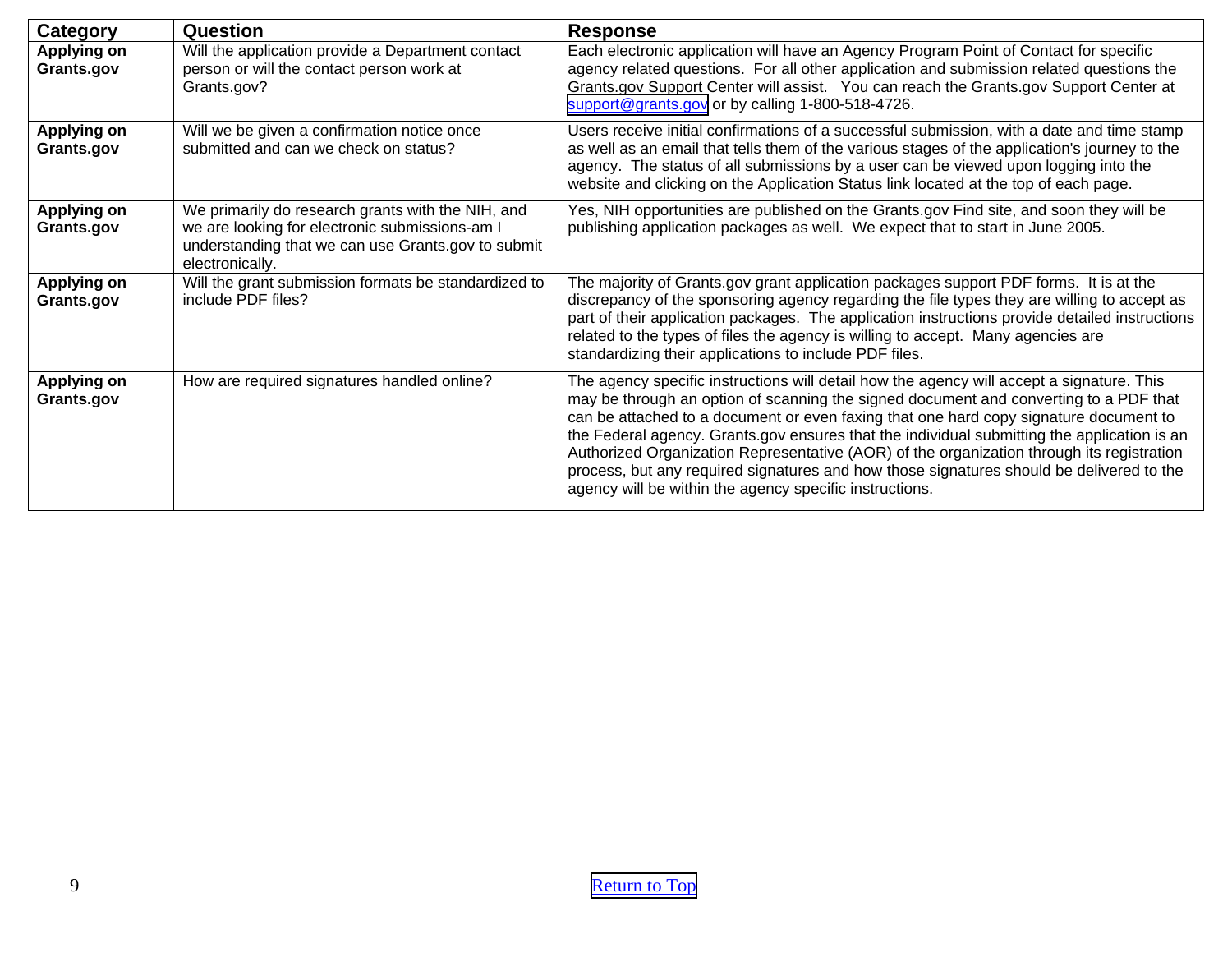| Category                         | <b>Question</b>                                                                                                                                                              | <b>Response</b>                                                                                                                                                                                                                                                                                                                                                                                                                                                                                                                                                                                                                |
|----------------------------------|------------------------------------------------------------------------------------------------------------------------------------------------------------------------------|--------------------------------------------------------------------------------------------------------------------------------------------------------------------------------------------------------------------------------------------------------------------------------------------------------------------------------------------------------------------------------------------------------------------------------------------------------------------------------------------------------------------------------------------------------------------------------------------------------------------------------|
| Applying on<br>Grants.gov        | Will the application provide a Department contact<br>person or will the contact person work at<br>Grants.gov?                                                                | Each electronic application will have an Agency Program Point of Contact for specific<br>agency related questions. For all other application and submission related questions the<br>Grants.gov Support Center will assist. You can reach the Grants.gov Support Center at<br>support@grants.gov or by calling 1-800-518-4726.                                                                                                                                                                                                                                                                                                 |
| Applying on<br>Grants.gov        | Will we be given a confirmation notice once<br>submitted and can we check on status?                                                                                         | Users receive initial confirmations of a successful submission, with a date and time stamp<br>as well as an email that tells them of the various stages of the application's journey to the<br>agency. The status of all submissions by a user can be viewed upon logging into the<br>website and clicking on the Application Status link located at the top of each page.                                                                                                                                                                                                                                                     |
| <b>Applying on</b><br>Grants.gov | We primarily do research grants with the NIH, and<br>we are looking for electronic submissions-am I<br>understanding that we can use Grants.gov to submit<br>electronically. | Yes, NIH opportunities are published on the Grants.gov Find site, and soon they will be<br>publishing application packages as well. We expect that to start in June 2005.                                                                                                                                                                                                                                                                                                                                                                                                                                                      |
| <b>Applying on</b><br>Grants.gov | Will the grant submission formats be standardized to<br>include PDF files?                                                                                                   | The majority of Grants.gov grant application packages support PDF forms. It is at the<br>discrepancy of the sponsoring agency regarding the file types they are willing to accept as<br>part of their application packages. The application instructions provide detailed instructions<br>related to the types of files the agency is willing to accept. Many agencies are<br>standardizing their applications to include PDF files.                                                                                                                                                                                           |
| Applying on<br>Grants.gov        | How are required signatures handled online?                                                                                                                                  | The agency specific instructions will detail how the agency will accept a signature. This<br>may be through an option of scanning the signed document and converting to a PDF that<br>can be attached to a document or even faxing that one hard copy signature document to<br>the Federal agency. Grants gov ensures that the individual submitting the application is an<br>Authorized Organization Representative (AOR) of the organization through its registration<br>process, but any required signatures and how those signatures should be delivered to the<br>agency will be within the agency specific instructions. |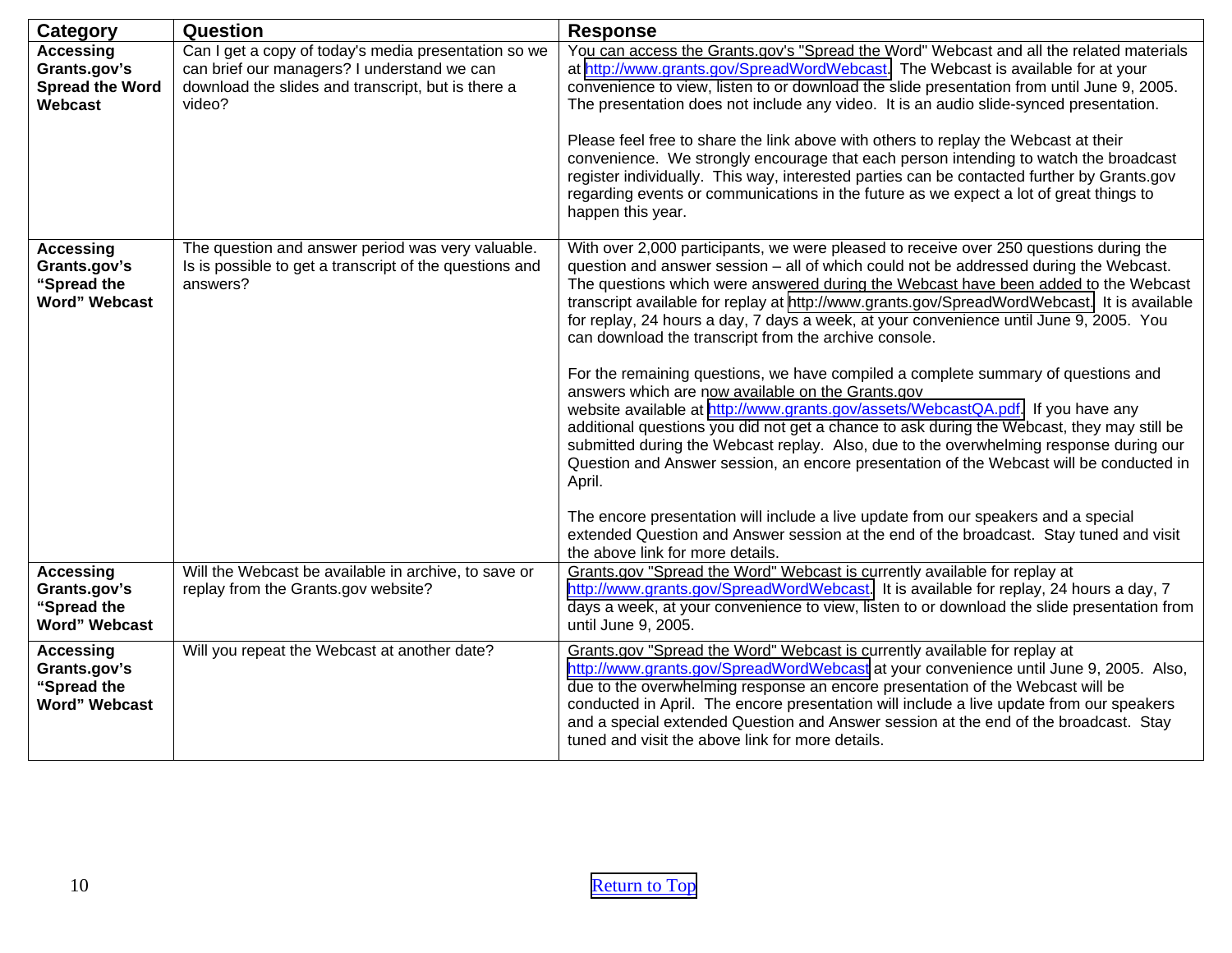<span id="page-9-0"></span>

| <b>Category</b>                                                         | Question                                                                                                                                                            | <b>Response</b>                                                                                                                                                                                                                                                                                                                                                                                                                                                                                                                                                                                                                                                                                                                                                                                                                                                                                                                                                                                                                                                                                                                                                                                                                                                         |
|-------------------------------------------------------------------------|---------------------------------------------------------------------------------------------------------------------------------------------------------------------|-------------------------------------------------------------------------------------------------------------------------------------------------------------------------------------------------------------------------------------------------------------------------------------------------------------------------------------------------------------------------------------------------------------------------------------------------------------------------------------------------------------------------------------------------------------------------------------------------------------------------------------------------------------------------------------------------------------------------------------------------------------------------------------------------------------------------------------------------------------------------------------------------------------------------------------------------------------------------------------------------------------------------------------------------------------------------------------------------------------------------------------------------------------------------------------------------------------------------------------------------------------------------|
| <b>Accessing</b><br>Grants.gov's<br><b>Spread the Word</b><br>Webcast   | Can I get a copy of today's media presentation so we<br>can brief our managers? I understand we can<br>download the slides and transcript, but is there a<br>video? | You can access the Grants.gov's "Spread the Word" Webcast and all the related materials<br>at http://www.grants.gov/SpreadWordWebcast. The Webcast is available for at your<br>convenience to view, listen to or download the slide presentation from until June 9, 2005.<br>The presentation does not include any video. It is an audio slide-synced presentation.<br>Please feel free to share the link above with others to replay the Webcast at their<br>convenience. We strongly encourage that each person intending to watch the broadcast<br>register individually. This way, interested parties can be contacted further by Grants.gov<br>regarding events or communications in the future as we expect a lot of great things to<br>happen this year.                                                                                                                                                                                                                                                                                                                                                                                                                                                                                                         |
| <b>Accessing</b><br>Grants.gov's<br>"Spread the<br><b>Word" Webcast</b> | The question and answer period was very valuable.<br>Is is possible to get a transcript of the questions and<br>answers?                                            | With over 2,000 participants, we were pleased to receive over 250 questions during the<br>question and answer session - all of which could not be addressed during the Webcast.<br>The questions which were answered during the Webcast have been added to the Webcast<br>transcript available for replay at http://www.grants.gov/SpreadWordWebcast. It is available<br>for replay, 24 hours a day, 7 days a week, at your convenience until June 9, 2005. You<br>can download the transcript from the archive console.<br>For the remaining questions, we have compiled a complete summary of questions and<br>answers which are now available on the Grants.gov<br>website available at http://www.grants.gov/assets/WebcastQA.pdf. If you have any<br>additional questions you did not get a chance to ask during the Webcast, they may still be<br>submitted during the Webcast replay. Also, due to the overwhelming response during our<br>Question and Answer session, an encore presentation of the Webcast will be conducted in<br>April.<br>The encore presentation will include a live update from our speakers and a special<br>extended Question and Answer session at the end of the broadcast. Stay tuned and visit<br>the above link for more details. |
| <b>Accessing</b><br>Grants.gov's<br>"Spread the<br><b>Word" Webcast</b> | Will the Webcast be available in archive, to save or<br>replay from the Grants.gov website?                                                                         | Grants.gov "Spread the Word" Webcast is currently available for replay at<br>http://www.grants.gov/SpreadWordWebcast. It is available for replay, 24 hours a day, 7<br>days a week, at your convenience to view, listen to or download the slide presentation from<br>until June 9, 2005.                                                                                                                                                                                                                                                                                                                                                                                                                                                                                                                                                                                                                                                                                                                                                                                                                                                                                                                                                                               |
| <b>Accessing</b><br>Grants.gov's<br>"Spread the<br><b>Word" Webcast</b> | Will you repeat the Webcast at another date?                                                                                                                        | Grants.gov "Spread the Word" Webcast is currently available for replay at<br>http://www.grants.gov/SpreadWordWebcast at your convenience until June 9, 2005. Also,<br>due to the overwhelming response an encore presentation of the Webcast will be<br>conducted in April. The encore presentation will include a live update from our speakers<br>and a special extended Question and Answer session at the end of the broadcast. Stay<br>tuned and visit the above link for more details.                                                                                                                                                                                                                                                                                                                                                                                                                                                                                                                                                                                                                                                                                                                                                                            |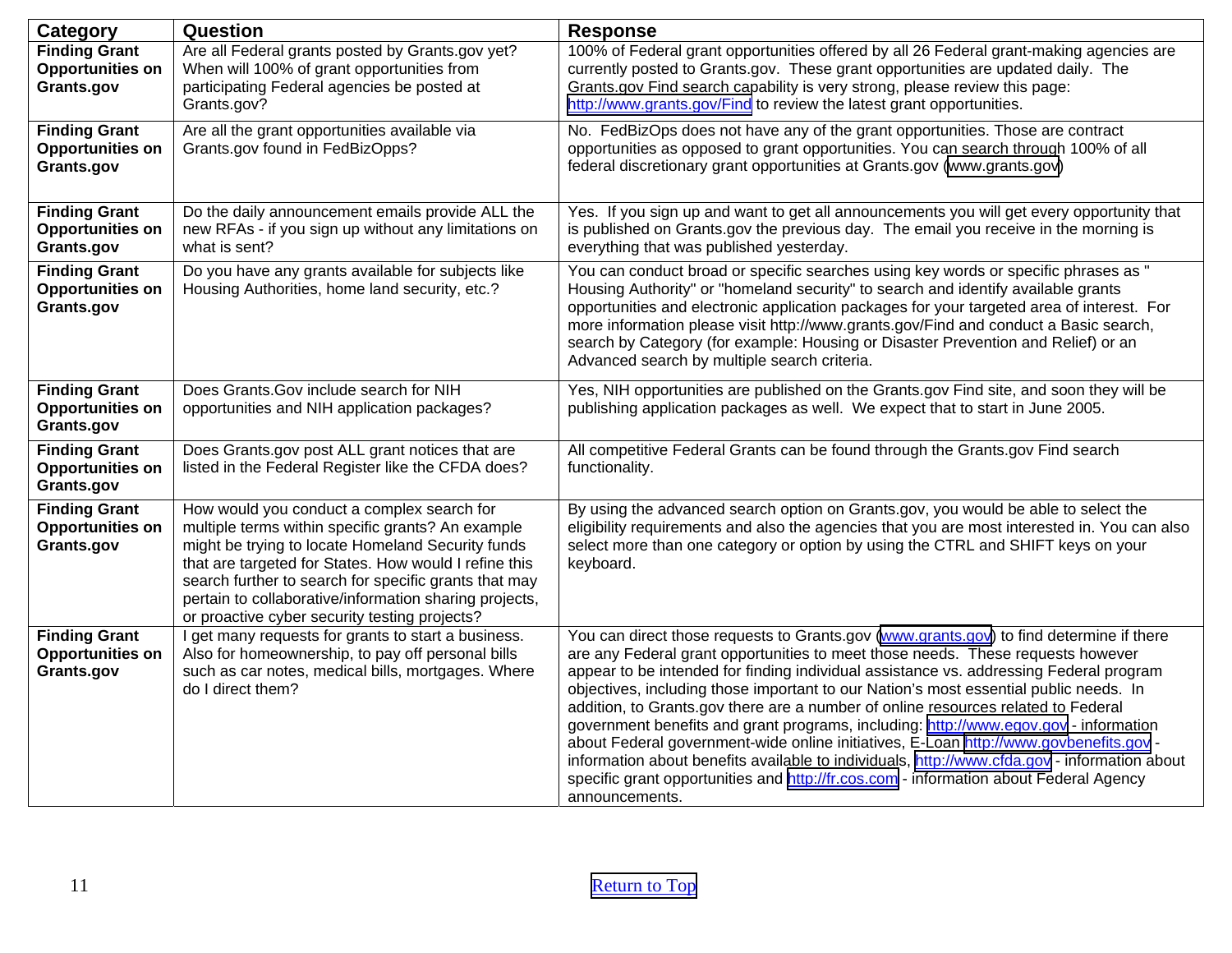<span id="page-10-0"></span>

| Category                                                      | Question                                                                                                                                                                                                                                                                                                                                                                          | <b>Response</b>                                                                                                                                                                                                                                                                                                                                                                                                                                                                                                                                                                                                                                                                                                                                                                                                                                |
|---------------------------------------------------------------|-----------------------------------------------------------------------------------------------------------------------------------------------------------------------------------------------------------------------------------------------------------------------------------------------------------------------------------------------------------------------------------|------------------------------------------------------------------------------------------------------------------------------------------------------------------------------------------------------------------------------------------------------------------------------------------------------------------------------------------------------------------------------------------------------------------------------------------------------------------------------------------------------------------------------------------------------------------------------------------------------------------------------------------------------------------------------------------------------------------------------------------------------------------------------------------------------------------------------------------------|
| <b>Finding Grant</b><br><b>Opportunities on</b><br>Grants.gov | Are all Federal grants posted by Grants.gov yet?<br>When will 100% of grant opportunities from<br>participating Federal agencies be posted at<br>Grants.gov?                                                                                                                                                                                                                      | 100% of Federal grant opportunities offered by all 26 Federal grant-making agencies are<br>currently posted to Grants.gov. These grant opportunities are updated daily. The<br>Grants.gov Find search capability is very strong, please review this page:<br>http://www.grants.gov/Find to review the latest grant opportunities.                                                                                                                                                                                                                                                                                                                                                                                                                                                                                                              |
| <b>Finding Grant</b><br><b>Opportunities on</b><br>Grants.gov | Are all the grant opportunities available via<br>Grants.gov found in FedBizOpps?                                                                                                                                                                                                                                                                                                  | No. FedBizOps does not have any of the grant opportunities. Those are contract<br>opportunities as opposed to grant opportunities. You can search through 100% of all<br>federal discretionary grant opportunities at Grants.gov (www.grants.gov)                                                                                                                                                                                                                                                                                                                                                                                                                                                                                                                                                                                              |
| <b>Finding Grant</b><br><b>Opportunities on</b><br>Grants.gov | Do the daily announcement emails provide ALL the<br>new RFAs - if you sign up without any limitations on<br>what is sent?                                                                                                                                                                                                                                                         | Yes. If you sign up and want to get all announcements you will get every opportunity that<br>is published on Grants.gov the previous day. The email you receive in the morning is<br>everything that was published yesterday.                                                                                                                                                                                                                                                                                                                                                                                                                                                                                                                                                                                                                  |
| <b>Finding Grant</b><br><b>Opportunities on</b><br>Grants.gov | Do you have any grants available for subjects like<br>Housing Authorities, home land security, etc.?                                                                                                                                                                                                                                                                              | You can conduct broad or specific searches using key words or specific phrases as "<br>Housing Authority" or "homeland security" to search and identify available grants<br>opportunities and electronic application packages for your targeted area of interest. For<br>more information please visit http://www.grants.gov/Find and conduct a Basic search,<br>search by Category (for example: Housing or Disaster Prevention and Relief) or an<br>Advanced search by multiple search criteria.                                                                                                                                                                                                                                                                                                                                             |
| <b>Finding Grant</b><br><b>Opportunities on</b><br>Grants.gov | Does Grants. Gov include search for NIH<br>opportunities and NIH application packages?                                                                                                                                                                                                                                                                                            | Yes, NIH opportunities are published on the Grants.gov Find site, and soon they will be<br>publishing application packages as well. We expect that to start in June 2005.                                                                                                                                                                                                                                                                                                                                                                                                                                                                                                                                                                                                                                                                      |
| <b>Finding Grant</b><br><b>Opportunities on</b><br>Grants.gov | Does Grants.gov post ALL grant notices that are<br>listed in the Federal Register like the CFDA does?                                                                                                                                                                                                                                                                             | All competitive Federal Grants can be found through the Grants.gov Find search<br>functionality.                                                                                                                                                                                                                                                                                                                                                                                                                                                                                                                                                                                                                                                                                                                                               |
| <b>Finding Grant</b><br><b>Opportunities on</b><br>Grants.gov | How would you conduct a complex search for<br>multiple terms within specific grants? An example<br>might be trying to locate Homeland Security funds<br>that are targeted for States. How would I refine this<br>search further to search for specific grants that may<br>pertain to collaborative/information sharing projects,<br>or proactive cyber security testing projects? | By using the advanced search option on Grants.gov, you would be able to select the<br>eligibility requirements and also the agencies that you are most interested in. You can also<br>select more than one category or option by using the CTRL and SHIFT keys on your<br>keyboard.                                                                                                                                                                                                                                                                                                                                                                                                                                                                                                                                                            |
| <b>Finding Grant</b><br><b>Opportunities on</b><br>Grants.gov | I get many requests for grants to start a business.<br>Also for homeownership, to pay off personal bills<br>such as car notes, medical bills, mortgages. Where<br>do I direct them?                                                                                                                                                                                               | You can direct those requests to Grants.gov (www.grants.gov) to find determine if there<br>are any Federal grant opportunities to meet those needs. These requests however<br>appear to be intended for finding individual assistance vs. addressing Federal program<br>objectives, including those important to our Nation's most essential public needs. In<br>addition, to Grants.gov there are a number of online resources related to Federal<br>government benefits and grant programs, including: http://www.egov.gov - information<br>about Federal government-wide online initiatives, E-Loan http://www.govbenefits.gov -<br>information about benefits available to individuals, http://www.cfda.gov - information about<br>specific grant opportunities and http://fr.cos.com - information about Federal Agency<br>announcements. |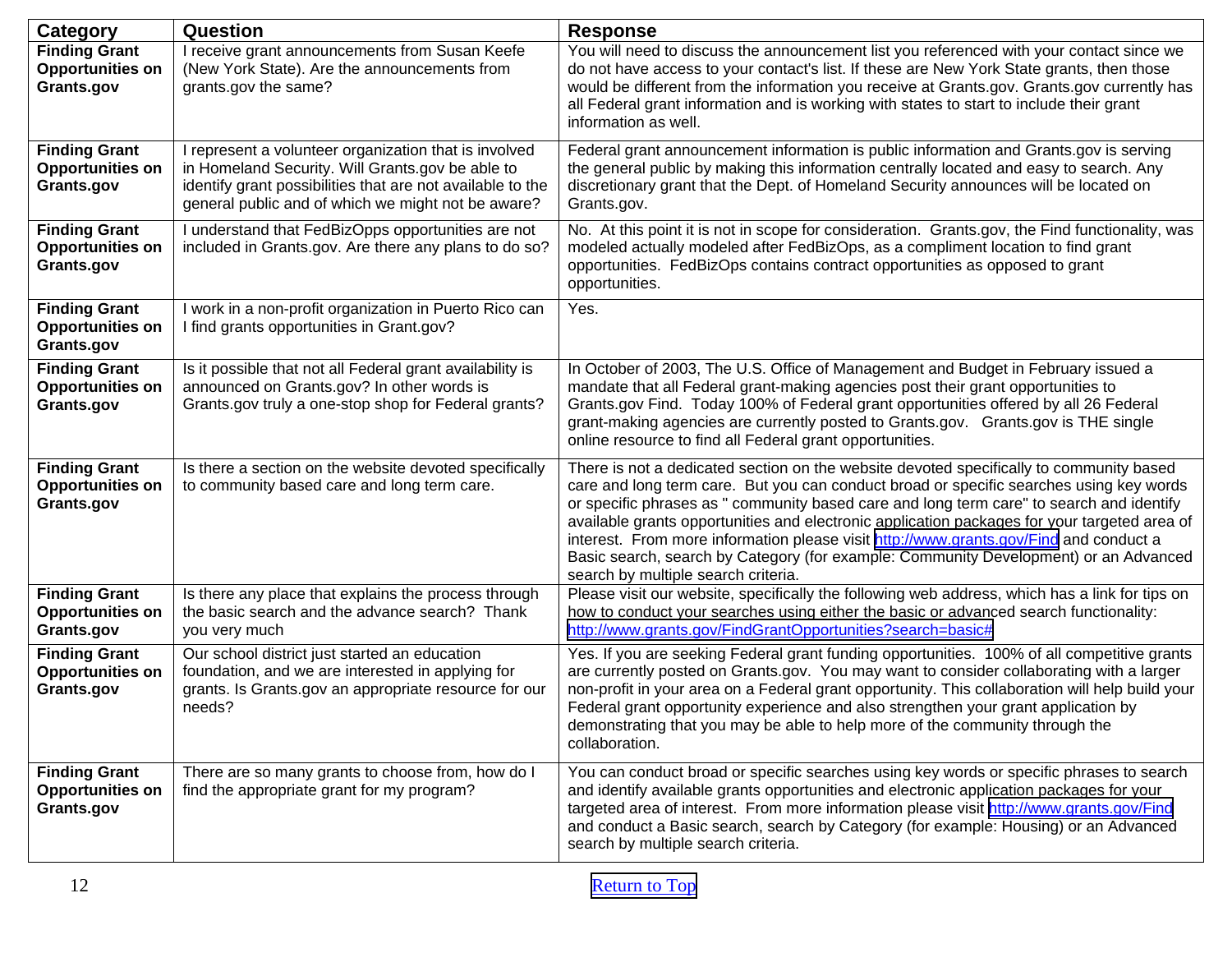| Category                                                      | Question                                                                                                                                                                                                                      | <b>Response</b>                                                                                                                                                                                                                                                                                                                                                                                                                                                                                                                                                                                        |
|---------------------------------------------------------------|-------------------------------------------------------------------------------------------------------------------------------------------------------------------------------------------------------------------------------|--------------------------------------------------------------------------------------------------------------------------------------------------------------------------------------------------------------------------------------------------------------------------------------------------------------------------------------------------------------------------------------------------------------------------------------------------------------------------------------------------------------------------------------------------------------------------------------------------------|
| <b>Finding Grant</b><br><b>Opportunities on</b><br>Grants.gov | I receive grant announcements from Susan Keefe<br>(New York State). Are the announcements from<br>grants.gov the same?                                                                                                        | You will need to discuss the announcement list you referenced with your contact since we<br>do not have access to your contact's list. If these are New York State grants, then those<br>would be different from the information you receive at Grants.gov. Grants.gov currently has<br>all Federal grant information and is working with states to start to include their grant<br>information as well.                                                                                                                                                                                               |
| <b>Finding Grant</b><br><b>Opportunities on</b><br>Grants.gov | I represent a volunteer organization that is involved<br>in Homeland Security. Will Grants.gov be able to<br>identify grant possibilities that are not available to the<br>general public and of which we might not be aware? | Federal grant announcement information is public information and Grants.gov is serving<br>the general public by making this information centrally located and easy to search. Any<br>discretionary grant that the Dept. of Homeland Security announces will be located on<br>Grants.gov.                                                                                                                                                                                                                                                                                                               |
| <b>Finding Grant</b><br><b>Opportunities on</b><br>Grants.gov | I understand that FedBizOpps opportunities are not<br>included in Grants.gov. Are there any plans to do so?                                                                                                                   | No. At this point it is not in scope for consideration. Grants.gov, the Find functionality, was<br>modeled actually modeled after FedBizOps, as a compliment location to find grant<br>opportunities. FedBizOps contains contract opportunities as opposed to grant<br>opportunities.                                                                                                                                                                                                                                                                                                                  |
| <b>Finding Grant</b><br><b>Opportunities on</b><br>Grants.gov | I work in a non-profit organization in Puerto Rico can<br>I find grants opportunities in Grant.gov?                                                                                                                           | Yes.                                                                                                                                                                                                                                                                                                                                                                                                                                                                                                                                                                                                   |
| <b>Finding Grant</b><br><b>Opportunities on</b><br>Grants.gov | Is it possible that not all Federal grant availability is<br>announced on Grants.gov? In other words is<br>Grants.gov truly a one-stop shop for Federal grants?                                                               | In October of 2003, The U.S. Office of Management and Budget in February issued a<br>mandate that all Federal grant-making agencies post their grant opportunities to<br>Grants.gov Find. Today 100% of Federal grant opportunities offered by all 26 Federal<br>grant-making agencies are currently posted to Grants.gov. Grants.gov is THE single<br>online resource to find all Federal grant opportunities.                                                                                                                                                                                        |
| <b>Finding Grant</b><br><b>Opportunities on</b><br>Grants.gov | Is there a section on the website devoted specifically<br>to community based care and long term care.                                                                                                                         | There is not a dedicated section on the website devoted specifically to community based<br>care and long term care. But you can conduct broad or specific searches using key words<br>or specific phrases as " community based care and long term care" to search and identify<br>available grants opportunities and electronic application packages for your targeted area of<br>interest. From more information please visit http://www.grants.gov/Find and conduct a<br>Basic search, search by Category (for example: Community Development) or an Advanced<br>search by multiple search criteria. |
| <b>Finding Grant</b><br><b>Opportunities on</b><br>Grants.gov | Is there any place that explains the process through<br>the basic search and the advance search? Thank<br>you very much                                                                                                       | Please visit our website, specifically the following web address, which has a link for tips on<br>how to conduct your searches using either the basic or advanced search functionality:<br>http://www.grants.gov/FindGrantOpportunities?search=basic#                                                                                                                                                                                                                                                                                                                                                  |
| <b>Finding Grant</b><br><b>Opportunities on</b><br>Grants.gov | Our school district just started an education<br>foundation, and we are interested in applying for<br>grants. Is Grants.gov an appropriate resource for our<br>needs?                                                         | Yes. If you are seeking Federal grant funding opportunities. 100% of all competitive grants<br>are currently posted on Grants.gov. You may want to consider collaborating with a larger<br>non-profit in your area on a Federal grant opportunity. This collaboration will help build your<br>Federal grant opportunity experience and also strengthen your grant application by<br>demonstrating that you may be able to help more of the community through the<br>collaboration.                                                                                                                     |
| <b>Finding Grant</b><br><b>Opportunities on</b><br>Grants.gov | There are so many grants to choose from, how do I<br>find the appropriate grant for my program?                                                                                                                               | You can conduct broad or specific searches using key words or specific phrases to search<br>and identify available grants opportunities and electronic application packages for your<br>targeted area of interest. From more information please visit http://www.grants.gov/Find<br>and conduct a Basic search, search by Category (for example: Housing) or an Advanced<br>search by multiple search criteria.                                                                                                                                                                                        |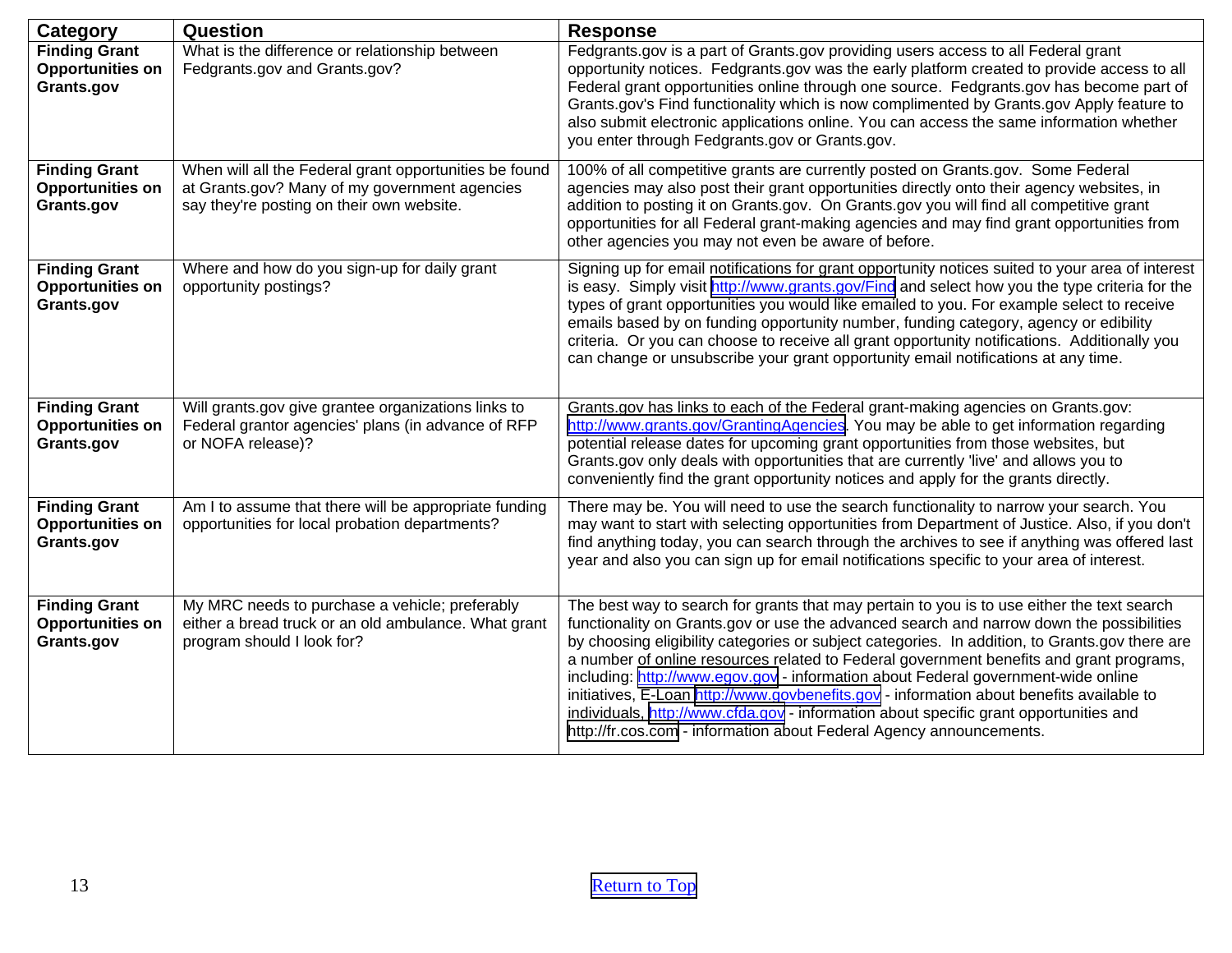| Category                                                      | Question                                                                                                                                             | <b>Response</b>                                                                                                                                                                                                                                                                                                                                                                                                                                                                                                                                                                                                                                                                                                                      |
|---------------------------------------------------------------|------------------------------------------------------------------------------------------------------------------------------------------------------|--------------------------------------------------------------------------------------------------------------------------------------------------------------------------------------------------------------------------------------------------------------------------------------------------------------------------------------------------------------------------------------------------------------------------------------------------------------------------------------------------------------------------------------------------------------------------------------------------------------------------------------------------------------------------------------------------------------------------------------|
| <b>Finding Grant</b><br><b>Opportunities on</b><br>Grants.gov | What is the difference or relationship between<br>Fedgrants.gov and Grants.gov?                                                                      | Fedgrants.gov is a part of Grants.gov providing users access to all Federal grant<br>opportunity notices. Fedgrants.gov was the early platform created to provide access to all<br>Federal grant opportunities online through one source. Fedgrants.gov has become part of<br>Grants.gov's Find functionality which is now complimented by Grants.gov Apply feature to<br>also submit electronic applications online. You can access the same information whether<br>you enter through Fedgrants.gov or Grants.gov.                                                                                                                                                                                                                  |
| <b>Finding Grant</b><br><b>Opportunities on</b><br>Grants.gov | When will all the Federal grant opportunities be found<br>at Grants.gov? Many of my government agencies<br>say they're posting on their own website. | 100% of all competitive grants are currently posted on Grants.gov. Some Federal<br>agencies may also post their grant opportunities directly onto their agency websites, in<br>addition to posting it on Grants.gov. On Grants.gov you will find all competitive grant<br>opportunities for all Federal grant-making agencies and may find grant opportunities from<br>other agencies you may not even be aware of before.                                                                                                                                                                                                                                                                                                           |
| <b>Finding Grant</b><br><b>Opportunities on</b><br>Grants.gov | Where and how do you sign-up for daily grant<br>opportunity postings?                                                                                | Signing up for email notifications for grant opportunity notices suited to your area of interest<br>is easy. Simply visit http://www.grants.gov/Find and select how you the type criteria for the<br>types of grant opportunities you would like emailed to you. For example select to receive<br>emails based by on funding opportunity number, funding category, agency or edibility<br>criteria. Or you can choose to receive all grant opportunity notifications. Additionally you<br>can change or unsubscribe your grant opportunity email notifications at any time.                                                                                                                                                          |
| <b>Finding Grant</b><br><b>Opportunities on</b><br>Grants.gov | Will grants.gov give grantee organizations links to<br>Federal grantor agencies' plans (in advance of RFP<br>or NOFA release)?                       | Grants.gov has links to each of the Federal grant-making agencies on Grants.gov:<br>http://www.grants.gov/GrantingAgencies. You may be able to get information regarding<br>potential release dates for upcoming grant opportunities from those websites, but<br>Grants.gov only deals with opportunities that are currently 'live' and allows you to<br>conveniently find the grant opportunity notices and apply for the grants directly.                                                                                                                                                                                                                                                                                          |
| <b>Finding Grant</b><br><b>Opportunities on</b><br>Grants.gov | Am I to assume that there will be appropriate funding<br>opportunities for local probation departments?                                              | There may be. You will need to use the search functionality to narrow your search. You<br>may want to start with selecting opportunities from Department of Justice. Also, if you don't<br>find anything today, you can search through the archives to see if anything was offered last<br>year and also you can sign up for email notifications specific to your area of interest.                                                                                                                                                                                                                                                                                                                                                  |
| <b>Finding Grant</b><br><b>Opportunities on</b><br>Grants.gov | My MRC needs to purchase a vehicle; preferably<br>either a bread truck or an old ambulance. What grant<br>program should I look for?                 | The best way to search for grants that may pertain to you is to use either the text search<br>functionality on Grants.gov or use the advanced search and narrow down the possibilities<br>by choosing eligibility categories or subject categories. In addition, to Grants.gov there are<br>a number of online resources related to Federal government benefits and grant programs,<br>including: http://www.egov.gov - information about Federal government-wide online<br>initiatives, E-Loan http://www.govbenefits.gov - information about benefits available to<br>individuals, http://www.cfda.gov - information about specific grant opportunities and<br>http://fr.cos.com - information about Federal Agency announcements. |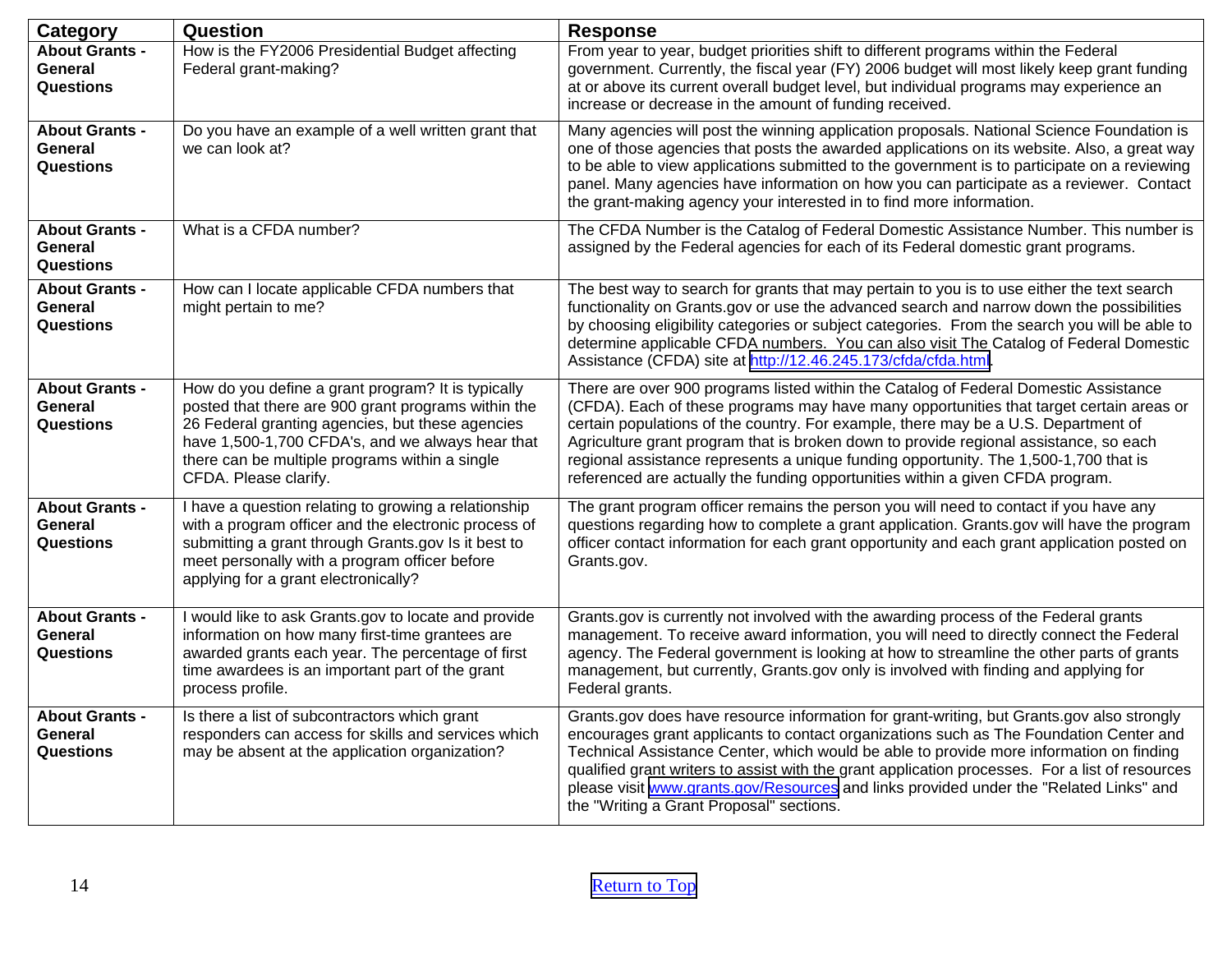<span id="page-13-0"></span>

| <b>Category</b>                                             | Question                                                                                                                                                                                                                                                                                     | <b>Response</b>                                                                                                                                                                                                                                                                                                                                                                                                                                                                                                                          |
|-------------------------------------------------------------|----------------------------------------------------------------------------------------------------------------------------------------------------------------------------------------------------------------------------------------------------------------------------------------------|------------------------------------------------------------------------------------------------------------------------------------------------------------------------------------------------------------------------------------------------------------------------------------------------------------------------------------------------------------------------------------------------------------------------------------------------------------------------------------------------------------------------------------------|
| <b>About Grants -</b><br>General<br>Questions               | How is the FY2006 Presidential Budget affecting<br>Federal grant-making?                                                                                                                                                                                                                     | From year to year, budget priorities shift to different programs within the Federal<br>government. Currently, the fiscal year (FY) 2006 budget will most likely keep grant funding<br>at or above its current overall budget level, but individual programs may experience an<br>increase or decrease in the amount of funding received.                                                                                                                                                                                                 |
| <b>About Grants -</b><br><b>General</b><br>Questions        | Do you have an example of a well written grant that<br>we can look at?                                                                                                                                                                                                                       | Many agencies will post the winning application proposals. National Science Foundation is<br>one of those agencies that posts the awarded applications on its website. Also, a great way<br>to be able to view applications submitted to the government is to participate on a reviewing<br>panel. Many agencies have information on how you can participate as a reviewer. Contact<br>the grant-making agency your interested in to find more information.                                                                              |
| <b>About Grants -</b><br><b>General</b><br><b>Questions</b> | What is a CFDA number?                                                                                                                                                                                                                                                                       | The CFDA Number is the Catalog of Federal Domestic Assistance Number. This number is<br>assigned by the Federal agencies for each of its Federal domestic grant programs.                                                                                                                                                                                                                                                                                                                                                                |
| <b>About Grants -</b><br>General<br>Questions               | How can I locate applicable CFDA numbers that<br>might pertain to me?                                                                                                                                                                                                                        | The best way to search for grants that may pertain to you is to use either the text search<br>functionality on Grants.gov or use the advanced search and narrow down the possibilities<br>by choosing eligibility categories or subject categories. From the search you will be able to<br>determine applicable CFDA numbers. You can also visit The Catalog of Federal Domestic<br>Assistance (CFDA) site at http://12.46.245.173/cfda/cfda.html.                                                                                       |
| <b>About Grants -</b><br>General<br><b>Questions</b>        | How do you define a grant program? It is typically<br>posted that there are 900 grant programs within the<br>26 Federal granting agencies, but these agencies<br>have 1,500-1,700 CFDA's, and we always hear that<br>there can be multiple programs within a single<br>CFDA. Please clarify. | There are over 900 programs listed within the Catalog of Federal Domestic Assistance<br>(CFDA). Each of these programs may have many opportunities that target certain areas or<br>certain populations of the country. For example, there may be a U.S. Department of<br>Agriculture grant program that is broken down to provide regional assistance, so each<br>regional assistance represents a unique funding opportunity. The 1,500-1,700 that is<br>referenced are actually the funding opportunities within a given CFDA program. |
| <b>About Grants -</b><br>General<br>Questions               | I have a question relating to growing a relationship<br>with a program officer and the electronic process of<br>submitting a grant through Grants.gov Is it best to<br>meet personally with a program officer before<br>applying for a grant electronically?                                 | The grant program officer remains the person you will need to contact if you have any<br>questions regarding how to complete a grant application. Grants.gov will have the program<br>officer contact information for each grant opportunity and each grant application posted on<br>Grants.gov.                                                                                                                                                                                                                                         |
| <b>About Grants -</b><br><b>General</b><br>Questions        | I would like to ask Grants.gov to locate and provide<br>information on how many first-time grantees are<br>awarded grants each year. The percentage of first<br>time awardees is an important part of the grant<br>process profile.                                                          | Grants.gov is currently not involved with the awarding process of the Federal grants<br>management. To receive award information, you will need to directly connect the Federal<br>agency. The Federal government is looking at how to streamline the other parts of grants<br>management, but currently, Grants.gov only is involved with finding and applying for<br>Federal grants.                                                                                                                                                   |
| <b>About Grants -</b><br><b>General</b><br>Questions        | Is there a list of subcontractors which grant<br>responders can access for skills and services which<br>may be absent at the application organization?                                                                                                                                       | Grants.gov does have resource information for grant-writing, but Grants.gov also strongly<br>encourages grant applicants to contact organizations such as The Foundation Center and<br>Technical Assistance Center, which would be able to provide more information on finding<br>qualified grant writers to assist with the grant application processes. For a list of resources<br>please visit www.grants.gov/Resources and links provided under the "Related Links" and<br>the "Writing a Grant Proposal" sections.                  |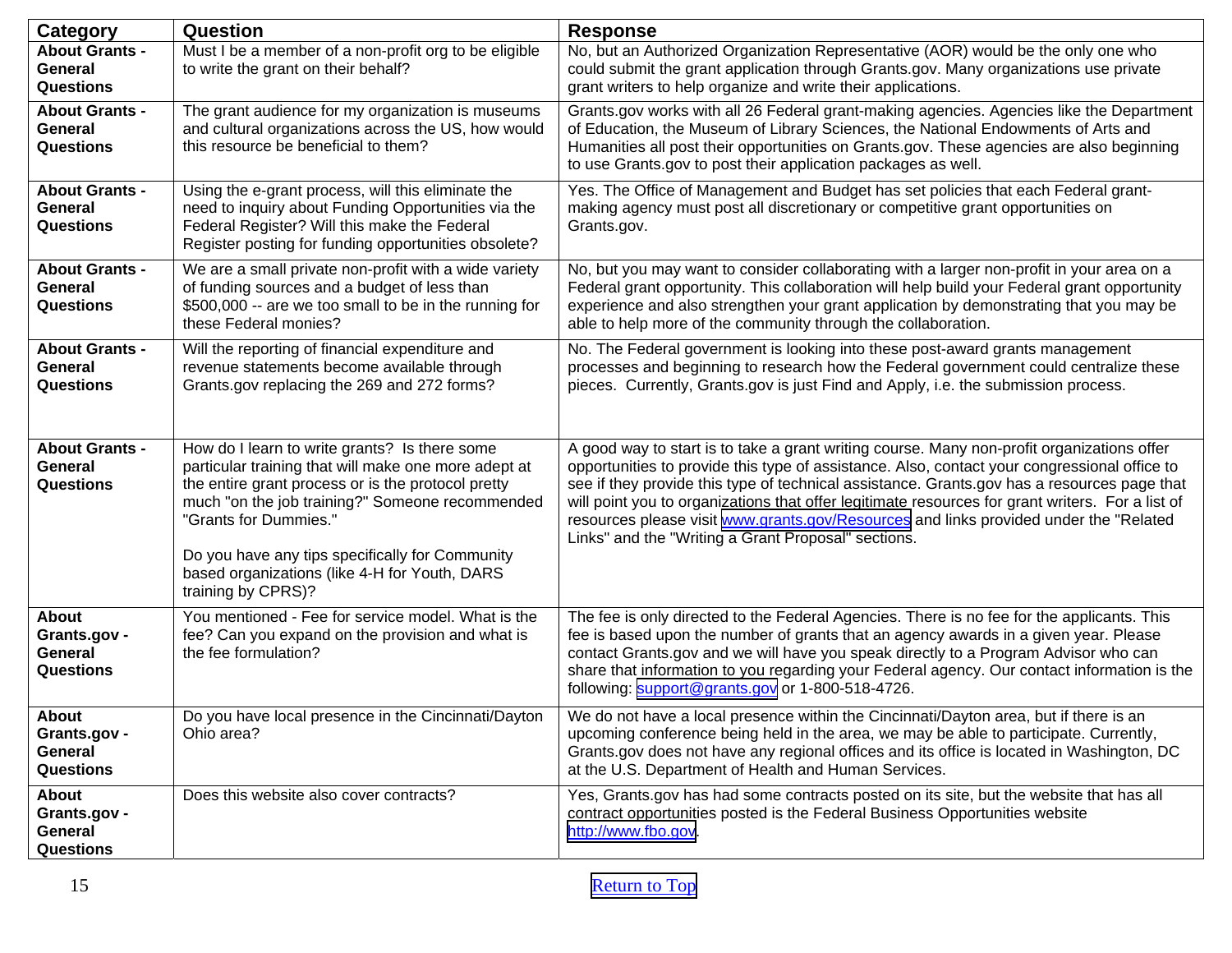<span id="page-14-0"></span>

| Category                                                    | Question                                                                                                                                                                                                                                                                                                                                                          | <b>Response</b>                                                                                                                                                                                                                                                                                                                                                                                                                                                                                                                                |
|-------------------------------------------------------------|-------------------------------------------------------------------------------------------------------------------------------------------------------------------------------------------------------------------------------------------------------------------------------------------------------------------------------------------------------------------|------------------------------------------------------------------------------------------------------------------------------------------------------------------------------------------------------------------------------------------------------------------------------------------------------------------------------------------------------------------------------------------------------------------------------------------------------------------------------------------------------------------------------------------------|
| <b>About Grants -</b><br>General<br><b>Questions</b>        | Must I be a member of a non-profit org to be eligible<br>to write the grant on their behalf?                                                                                                                                                                                                                                                                      | No, but an Authorized Organization Representative (AOR) would be the only one who<br>could submit the grant application through Grants.gov. Many organizations use private<br>grant writers to help organize and write their applications.                                                                                                                                                                                                                                                                                                     |
| <b>About Grants -</b><br>General<br><b>Questions</b>        | The grant audience for my organization is museums<br>and cultural organizations across the US, how would<br>this resource be beneficial to them?                                                                                                                                                                                                                  | Grants.gov works with all 26 Federal grant-making agencies. Agencies like the Department<br>of Education, the Museum of Library Sciences, the National Endowments of Arts and<br>Humanities all post their opportunities on Grants.gov. These agencies are also beginning<br>to use Grants.gov to post their application packages as well.                                                                                                                                                                                                     |
| <b>About Grants -</b><br>General<br><b>Questions</b>        | Using the e-grant process, will this eliminate the<br>need to inquiry about Funding Opportunities via the<br>Federal Register? Will this make the Federal<br>Register posting for funding opportunities obsolete?                                                                                                                                                 | Yes. The Office of Management and Budget has set policies that each Federal grant-<br>making agency must post all discretionary or competitive grant opportunities on<br>Grants.gov.                                                                                                                                                                                                                                                                                                                                                           |
| <b>About Grants -</b><br>General<br><b>Questions</b>        | We are a small private non-profit with a wide variety<br>of funding sources and a budget of less than<br>\$500,000 -- are we too small to be in the running for<br>these Federal monies?                                                                                                                                                                          | No, but you may want to consider collaborating with a larger non-profit in your area on a<br>Federal grant opportunity. This collaboration will help build your Federal grant opportunity<br>experience and also strengthen your grant application by demonstrating that you may be<br>able to help more of the community through the collaboration.                                                                                                                                                                                           |
| <b>About Grants -</b><br>General<br><b>Questions</b>        | Will the reporting of financial expenditure and<br>revenue statements become available through<br>Grants.gov replacing the 269 and 272 forms?                                                                                                                                                                                                                     | No. The Federal government is looking into these post-award grants management<br>processes and beginning to research how the Federal government could centralize these<br>pieces. Currently, Grants.gov is just Find and Apply, i.e. the submission process.                                                                                                                                                                                                                                                                                   |
| <b>About Grants -</b><br>General<br><b>Questions</b>        | How do I learn to write grants? Is there some<br>particular training that will make one more adept at<br>the entire grant process or is the protocol pretty<br>much "on the job training?" Someone recommended<br>"Grants for Dummies."<br>Do you have any tips specifically for Community<br>based organizations (like 4-H for Youth, DARS<br>training by CPRS)? | A good way to start is to take a grant writing course. Many non-profit organizations offer<br>opportunities to provide this type of assistance. Also, contact your congressional office to<br>see if they provide this type of technical assistance. Grants.gov has a resources page that<br>will point you to organizations that offer legitimate resources for grant writers. For a list of<br>resources please visit www.grants.gov/Resources and links provided under the "Related"<br>Links" and the "Writing a Grant Proposal" sections. |
| About<br>Grants.gov -<br>General<br>Questions               | You mentioned - Fee for service model. What is the<br>fee? Can you expand on the provision and what is<br>the fee formulation?                                                                                                                                                                                                                                    | The fee is only directed to the Federal Agencies. There is no fee for the applicants. This<br>fee is based upon the number of grants that an agency awards in a given year. Please<br>contact Grants.gov and we will have you speak directly to a Program Advisor who can<br>share that information to you regarding your Federal agency. Our contact information is the<br>following: support@grants.gov or 1-800-518-4726.                                                                                                                   |
| <b>About</b><br>Grants.gov -<br>General<br><b>Questions</b> | Do you have local presence in the Cincinnati/Dayton<br>Ohio area?                                                                                                                                                                                                                                                                                                 | We do not have a local presence within the Cincinnati/Dayton area, but if there is an<br>upcoming conference being held in the area, we may be able to participate. Currently,<br>Grants.gov does not have any regional offices and its office is located in Washington, DC<br>at the U.S. Department of Health and Human Services.                                                                                                                                                                                                            |
| <b>About</b><br>Grants.gov -<br>General<br><b>Questions</b> | Does this website also cover contracts?                                                                                                                                                                                                                                                                                                                           | Yes, Grants.gov has had some contracts posted on its site, but the website that has all<br>contract opportunities posted is the Federal Business Opportunities website<br>http://www.fbo.gov.                                                                                                                                                                                                                                                                                                                                                  |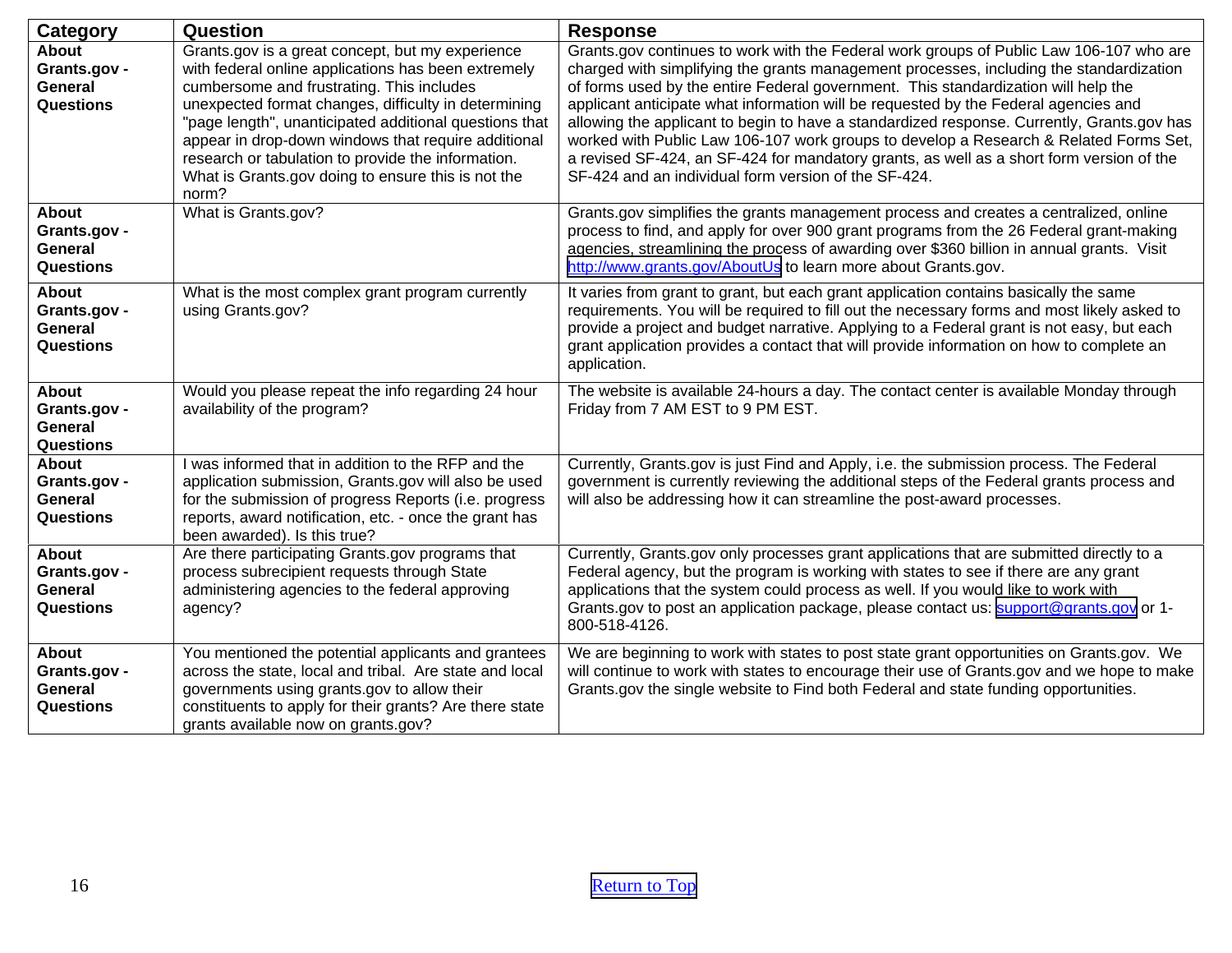| Category                                                           | Question                                                                                                                                                                                                                                                                                                                                                                                                                                           | <b>Response</b>                                                                                                                                                                                                                                                                                                                                                                                                                                                                                                                                                                                                                                                                                            |
|--------------------------------------------------------------------|----------------------------------------------------------------------------------------------------------------------------------------------------------------------------------------------------------------------------------------------------------------------------------------------------------------------------------------------------------------------------------------------------------------------------------------------------|------------------------------------------------------------------------------------------------------------------------------------------------------------------------------------------------------------------------------------------------------------------------------------------------------------------------------------------------------------------------------------------------------------------------------------------------------------------------------------------------------------------------------------------------------------------------------------------------------------------------------------------------------------------------------------------------------------|
| <b>About</b><br>Grants.gov -<br><b>General</b><br><b>Questions</b> | Grants.gov is a great concept, but my experience<br>with federal online applications has been extremely<br>cumbersome and frustrating. This includes<br>unexpected format changes, difficulty in determining<br>"page length", unanticipated additional questions that<br>appear in drop-down windows that require additional<br>research or tabulation to provide the information.<br>What is Grants.gov doing to ensure this is not the<br>norm? | Grants.gov continues to work with the Federal work groups of Public Law 106-107 who are<br>charged with simplifying the grants management processes, including the standardization<br>of forms used by the entire Federal government. This standardization will help the<br>applicant anticipate what information will be requested by the Federal agencies and<br>allowing the applicant to begin to have a standardized response. Currently, Grants.gov has<br>worked with Public Law 106-107 work groups to develop a Research & Related Forms Set,<br>a revised SF-424, an SF-424 for mandatory grants, as well as a short form version of the<br>SF-424 and an individual form version of the SF-424. |
| <b>About</b><br>Grants.gov -<br><b>General</b><br><b>Questions</b> | What is Grants.gov?                                                                                                                                                                                                                                                                                                                                                                                                                                | Grants.gov simplifies the grants management process and creates a centralized, online<br>process to find, and apply for over 900 grant programs from the 26 Federal grant-making<br>agencies, streamlining the process of awarding over \$360 billion in annual grants. Visit<br>http://www.grants.gov/AboutUs to learn more about Grants.gov.                                                                                                                                                                                                                                                                                                                                                             |
| About<br>Grants.gov -<br>General<br><b>Questions</b>               | What is the most complex grant program currently<br>using Grants.gov?                                                                                                                                                                                                                                                                                                                                                                              | It varies from grant to grant, but each grant application contains basically the same<br>requirements. You will be required to fill out the necessary forms and most likely asked to<br>provide a project and budget narrative. Applying to a Federal grant is not easy, but each<br>grant application provides a contact that will provide information on how to complete an<br>application.                                                                                                                                                                                                                                                                                                              |
| <b>About</b><br>Grants.gov -<br>General<br><b>Questions</b>        | Would you please repeat the info regarding 24 hour<br>availability of the program?                                                                                                                                                                                                                                                                                                                                                                 | The website is available 24-hours a day. The contact center is available Monday through<br>Friday from 7 AM EST to 9 PM EST.                                                                                                                                                                                                                                                                                                                                                                                                                                                                                                                                                                               |
| About<br>Grants.gov -<br>General<br><b>Questions</b>               | I was informed that in addition to the RFP and the<br>application submission, Grants.gov will also be used<br>for the submission of progress Reports (i.e. progress<br>reports, award notification, etc. - once the grant has<br>been awarded). Is this true?                                                                                                                                                                                      | Currently, Grants.gov is just Find and Apply, i.e. the submission process. The Federal<br>government is currently reviewing the additional steps of the Federal grants process and<br>will also be addressing how it can streamline the post-award processes.                                                                                                                                                                                                                                                                                                                                                                                                                                              |
| <b>About</b><br>Grants.gov -<br>General<br>Questions               | Are there participating Grants.gov programs that<br>process subrecipient requests through State<br>administering agencies to the federal approving<br>agency?                                                                                                                                                                                                                                                                                      | Currently, Grants.gov only processes grant applications that are submitted directly to a<br>Federal agency, but the program is working with states to see if there are any grant<br>applications that the system could process as well. If you would like to work with<br>Grants.gov to post an application package, please contact us: support@grants.gov or 1-<br>800-518-4126.                                                                                                                                                                                                                                                                                                                          |
| About<br>Grants.gov -<br><b>General</b><br><b>Questions</b>        | You mentioned the potential applicants and grantees<br>across the state, local and tribal. Are state and local<br>governments using grants.gov to allow their<br>constituents to apply for their grants? Are there state<br>grants available now on grants.gov?                                                                                                                                                                                    | We are beginning to work with states to post state grant opportunities on Grants.gov. We<br>will continue to work with states to encourage their use of Grants.gov and we hope to make<br>Grants.gov the single website to Find both Federal and state funding opportunities.                                                                                                                                                                                                                                                                                                                                                                                                                              |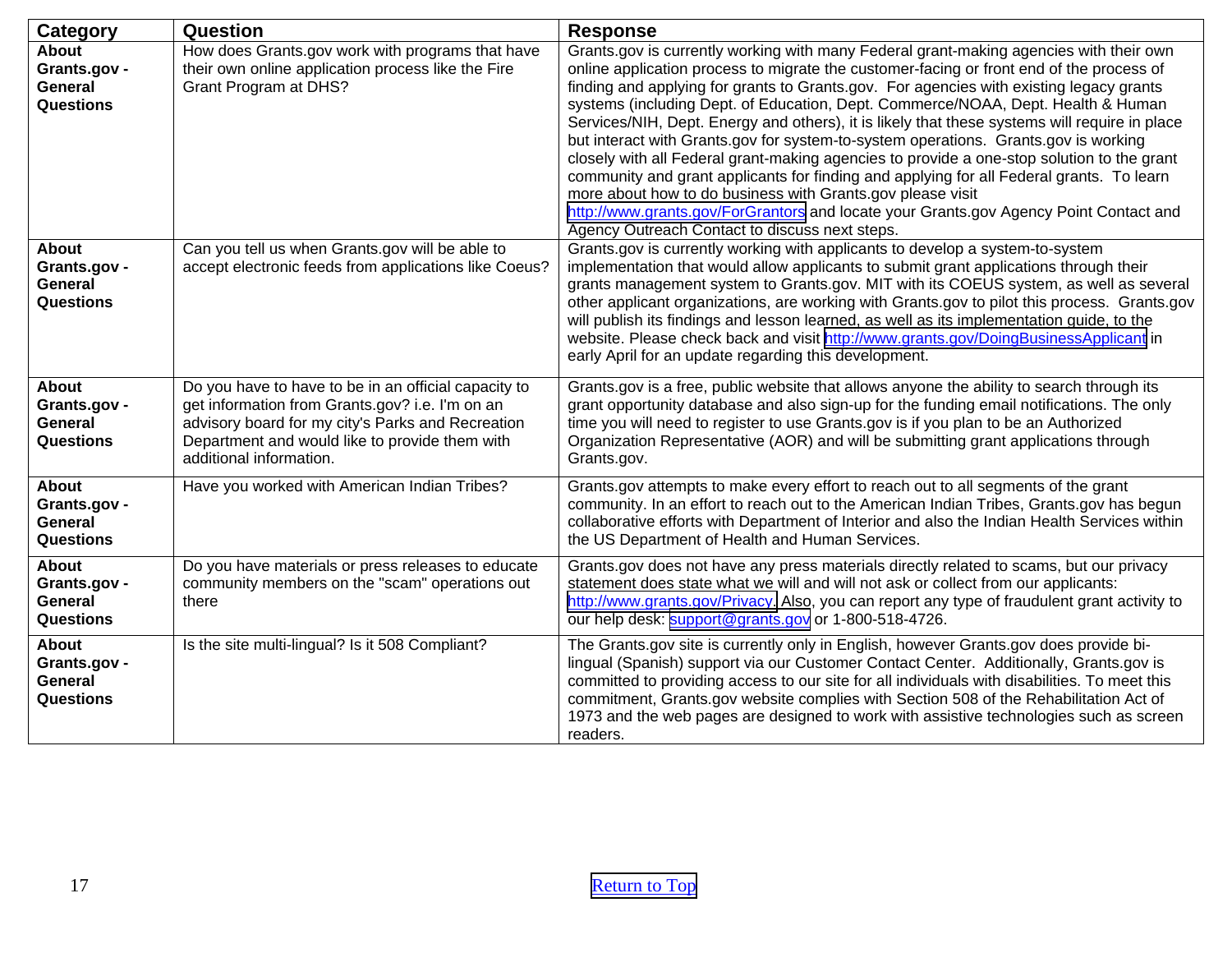| <b>Category</b>                                                    | Question                                                                                                                                                                                                                                  | <b>Response</b>                                                                                                                                                                                                                                                                                                                                                                                                                                                                                                                                                                                                                                                                                                                                                                                                                                                                                                                                              |
|--------------------------------------------------------------------|-------------------------------------------------------------------------------------------------------------------------------------------------------------------------------------------------------------------------------------------|--------------------------------------------------------------------------------------------------------------------------------------------------------------------------------------------------------------------------------------------------------------------------------------------------------------------------------------------------------------------------------------------------------------------------------------------------------------------------------------------------------------------------------------------------------------------------------------------------------------------------------------------------------------------------------------------------------------------------------------------------------------------------------------------------------------------------------------------------------------------------------------------------------------------------------------------------------------|
| <b>About</b><br>Grants.gov -<br><b>General</b><br><b>Questions</b> | How does Grants.gov work with programs that have<br>their own online application process like the Fire<br><b>Grant Program at DHS?</b>                                                                                                    | Grants.gov is currently working with many Federal grant-making agencies with their own<br>online application process to migrate the customer-facing or front end of the process of<br>finding and applying for grants to Grants.gov. For agencies with existing legacy grants<br>systems (including Dept. of Education, Dept. Commerce/NOAA, Dept. Health & Human<br>Services/NIH, Dept. Energy and others), it is likely that these systems will require in place<br>but interact with Grants.gov for system-to-system operations. Grants.gov is working<br>closely with all Federal grant-making agencies to provide a one-stop solution to the grant<br>community and grant applicants for finding and applying for all Federal grants. To learn<br>more about how to do business with Grants.gov please visit<br>http://www.grants.gov/ForGrantors and locate your Grants.gov Agency Point Contact and<br>Agency Outreach Contact to discuss next steps. |
| <b>About</b><br>Grants.gov -<br><b>General</b><br><b>Questions</b> | Can you tell us when Grants.gov will be able to<br>accept electronic feeds from applications like Coeus?                                                                                                                                  | Grants.gov is currently working with applicants to develop a system-to-system<br>implementation that would allow applicants to submit grant applications through their<br>grants management system to Grants.gov. MIT with its COEUS system, as well as several<br>other applicant organizations, are working with Grants.gov to pilot this process. Grants.gov<br>will publish its findings and lesson learned, as well as its implementation guide, to the<br>website. Please check back and visit http://www.grants.gov/DoingBusinessApplicant in<br>early April for an update regarding this development.                                                                                                                                                                                                                                                                                                                                                |
| <b>About</b><br>Grants.gov -<br><b>General</b><br><b>Questions</b> | Do you have to have to be in an official capacity to<br>get information from Grants.gov? i.e. I'm on an<br>advisory board for my city's Parks and Recreation<br>Department and would like to provide them with<br>additional information. | Grants.gov is a free, public website that allows anyone the ability to search through its<br>grant opportunity database and also sign-up for the funding email notifications. The only<br>time you will need to register to use Grants.gov is if you plan to be an Authorized<br>Organization Representative (AOR) and will be submitting grant applications through<br>Grants.gov.                                                                                                                                                                                                                                                                                                                                                                                                                                                                                                                                                                          |
| <b>About</b><br>Grants.gov -<br><b>General</b><br><b>Questions</b> | Have you worked with American Indian Tribes?                                                                                                                                                                                              | Grants.gov attempts to make every effort to reach out to all segments of the grant<br>community. In an effort to reach out to the American Indian Tribes, Grants.gov has begun<br>collaborative efforts with Department of Interior and also the Indian Health Services within<br>the US Department of Health and Human Services.                                                                                                                                                                                                                                                                                                                                                                                                                                                                                                                                                                                                                            |
| About<br>Grants.gov -<br>General<br><b>Questions</b>               | Do you have materials or press releases to educate<br>community members on the "scam" operations out<br>there                                                                                                                             | Grants.gov does not have any press materials directly related to scams, but our privacy<br>statement does state what we will and will not ask or collect from our applicants:<br>http://www.grants.gov/Privacy. Also, you can report any type of fraudulent grant activity to<br>our help desk: support@grants.gov or 1-800-518-4726.                                                                                                                                                                                                                                                                                                                                                                                                                                                                                                                                                                                                                        |
| About<br>Grants.gov -<br><b>General</b><br><b>Questions</b>        | Is the site multi-lingual? Is it 508 Compliant?                                                                                                                                                                                           | The Grants.gov site is currently only in English, however Grants.gov does provide bi-<br>lingual (Spanish) support via our Customer Contact Center. Additionally, Grants.gov is<br>committed to providing access to our site for all individuals with disabilities. To meet this<br>commitment, Grants.gov website complies with Section 508 of the Rehabilitation Act of<br>1973 and the web pages are designed to work with assistive technologies such as screen<br>readers.                                                                                                                                                                                                                                                                                                                                                                                                                                                                              |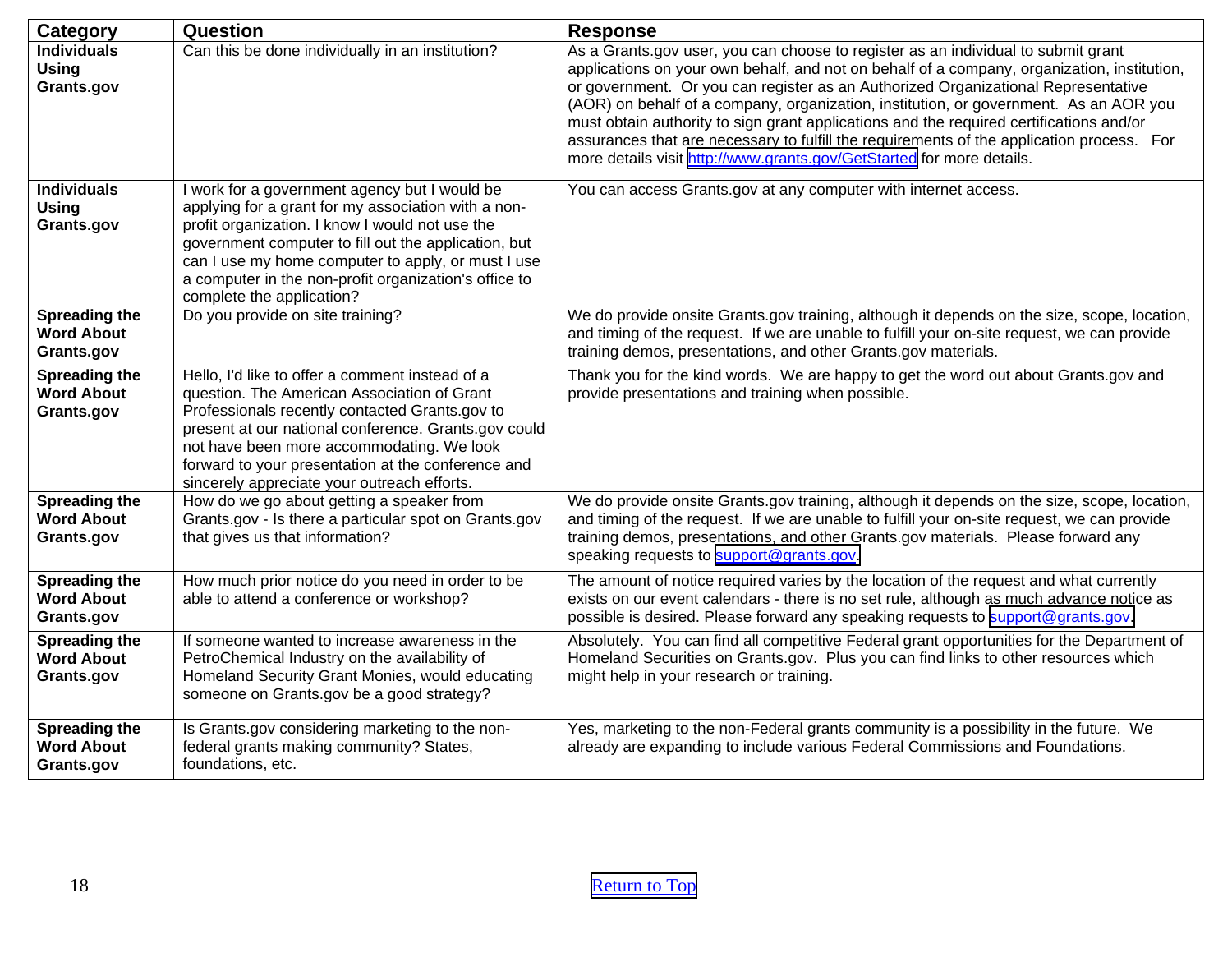<span id="page-17-0"></span>

| Category                                                | Question                                                                                                                                                                                                                                                                                                                                                    | <b>Response</b>                                                                                                                                                                                                                                                                                                                                                                                                                                                                                                                                                                                                                 |
|---------------------------------------------------------|-------------------------------------------------------------------------------------------------------------------------------------------------------------------------------------------------------------------------------------------------------------------------------------------------------------------------------------------------------------|---------------------------------------------------------------------------------------------------------------------------------------------------------------------------------------------------------------------------------------------------------------------------------------------------------------------------------------------------------------------------------------------------------------------------------------------------------------------------------------------------------------------------------------------------------------------------------------------------------------------------------|
| <b>Individuals</b><br><b>Using</b><br>Grants.gov        | Can this be done individually in an institution?                                                                                                                                                                                                                                                                                                            | As a Grants.gov user, you can choose to register as an individual to submit grant<br>applications on your own behalf, and not on behalf of a company, organization, institution,<br>or government. Or you can register as an Authorized Organizational Representative<br>(AOR) on behalf of a company, organization, institution, or government. As an AOR you<br>must obtain authority to sign grant applications and the required certifications and/or<br>assurances that are necessary to fulfill the requirements of the application process. For<br>more details visit http://www.grants.gov/GetStarted for more details. |
| <b>Individuals</b><br><b>Using</b><br>Grants.gov        | I work for a government agency but I would be<br>applying for a grant for my association with a non-<br>profit organization. I know I would not use the<br>government computer to fill out the application, but<br>can I use my home computer to apply, or must I use<br>a computer in the non-profit organization's office to<br>complete the application? | You can access Grants.gov at any computer with internet access.                                                                                                                                                                                                                                                                                                                                                                                                                                                                                                                                                                 |
| Spreading the<br><b>Word About</b><br>Grants.gov        | Do you provide on site training?                                                                                                                                                                                                                                                                                                                            | We do provide onsite Grants.gov training, although it depends on the size, scope, location,<br>and timing of the request. If we are unable to fulfill your on-site request, we can provide<br>training demos, presentations, and other Grants.gov materials.                                                                                                                                                                                                                                                                                                                                                                    |
| Spreading the<br><b>Word About</b><br>Grants.gov        | Hello, I'd like to offer a comment instead of a<br>question. The American Association of Grant<br>Professionals recently contacted Grants.gov to<br>present at our national conference. Grants.gov could<br>not have been more accommodating. We look<br>forward to your presentation at the conference and<br>sincerely appreciate your outreach efforts.  | Thank you for the kind words. We are happy to get the word out about Grants.gov and<br>provide presentations and training when possible.                                                                                                                                                                                                                                                                                                                                                                                                                                                                                        |
| <b>Spreading the</b><br><b>Word About</b><br>Grants.gov | How do we go about getting a speaker from<br>Grants.gov - Is there a particular spot on Grants.gov<br>that gives us that information?                                                                                                                                                                                                                       | We do provide onsite Grants.gov training, although it depends on the size, scope, location,<br>and timing of the request. If we are unable to fulfill your on-site request, we can provide<br>training demos, presentations, and other Grants.gov materials. Please forward any<br>speaking requests to support@grants.gov.                                                                                                                                                                                                                                                                                                     |
| <b>Spreading the</b><br><b>Word About</b><br>Grants.gov | How much prior notice do you need in order to be<br>able to attend a conference or workshop?                                                                                                                                                                                                                                                                | The amount of notice required varies by the location of the request and what currently<br>exists on our event calendars - there is no set rule, although as much advance notice as<br>possible is desired. Please forward any speaking requests to support@grants.gov.                                                                                                                                                                                                                                                                                                                                                          |
| Spreading the<br><b>Word About</b><br>Grants.gov        | If someone wanted to increase awareness in the<br>PetroChemical Industry on the availability of<br>Homeland Security Grant Monies, would educating<br>someone on Grants.gov be a good strategy?                                                                                                                                                             | Absolutely. You can find all competitive Federal grant opportunities for the Department of<br>Homeland Securities on Grants.gov. Plus you can find links to other resources which<br>might help in your research or training.                                                                                                                                                                                                                                                                                                                                                                                                   |
| <b>Spreading the</b><br><b>Word About</b><br>Grants.gov | Is Grants.gov considering marketing to the non-<br>federal grants making community? States,<br>foundations, etc.                                                                                                                                                                                                                                            | Yes, marketing to the non-Federal grants community is a possibility in the future. We<br>already are expanding to include various Federal Commissions and Foundations.                                                                                                                                                                                                                                                                                                                                                                                                                                                          |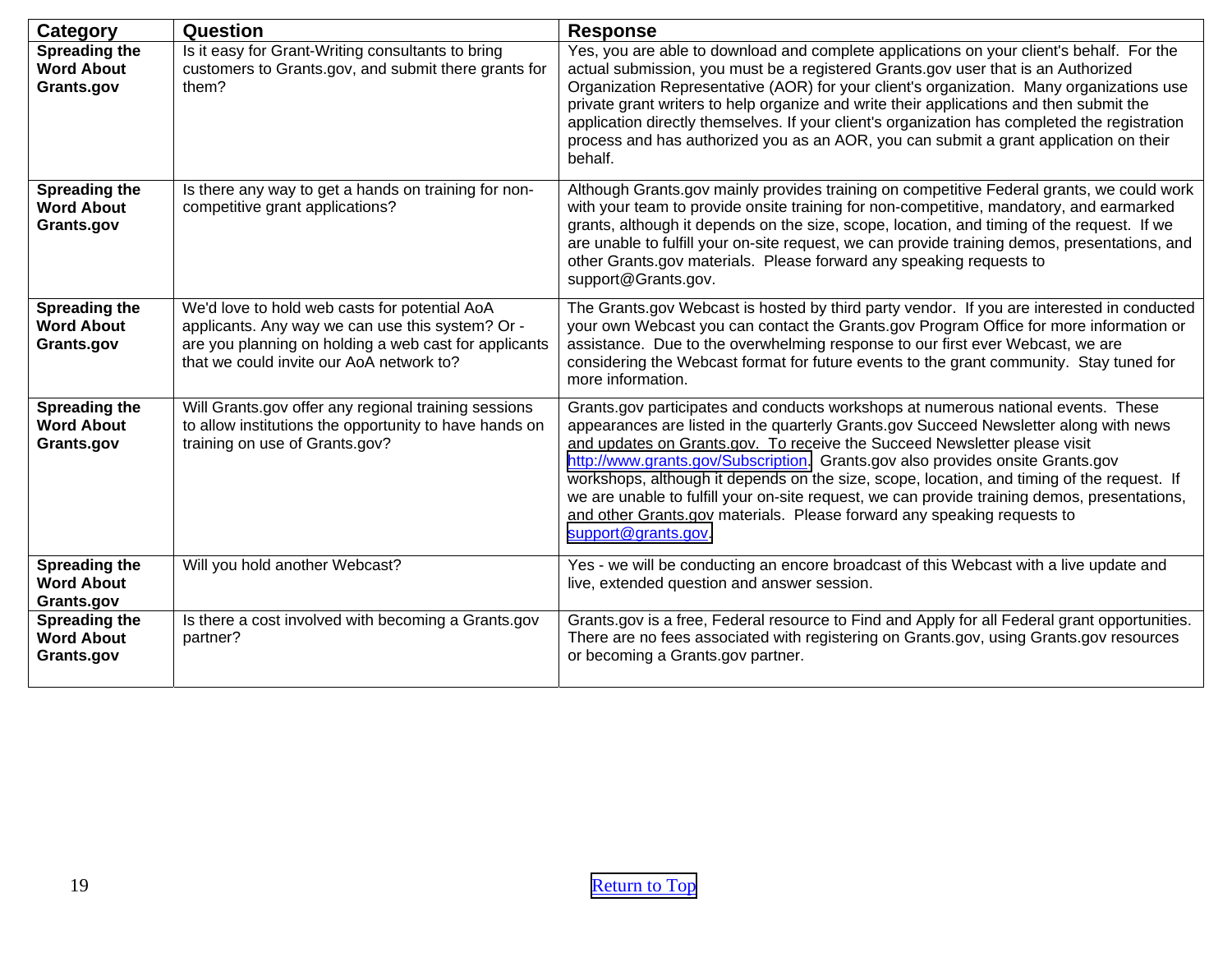| Category                                                | Question                                                                                                                                                                                               | <b>Response</b>                                                                                                                                                                                                                                                                                                                                                                                                                                                                                                                                                                                                                           |
|---------------------------------------------------------|--------------------------------------------------------------------------------------------------------------------------------------------------------------------------------------------------------|-------------------------------------------------------------------------------------------------------------------------------------------------------------------------------------------------------------------------------------------------------------------------------------------------------------------------------------------------------------------------------------------------------------------------------------------------------------------------------------------------------------------------------------------------------------------------------------------------------------------------------------------|
| <b>Spreading the</b><br><b>Word About</b><br>Grants.gov | Is it easy for Grant-Writing consultants to bring<br>customers to Grants.gov, and submit there grants for<br>them?                                                                                     | Yes, you are able to download and complete applications on your client's behalf. For the<br>actual submission, you must be a registered Grants.gov user that is an Authorized<br>Organization Representative (AOR) for your client's organization. Many organizations use<br>private grant writers to help organize and write their applications and then submit the<br>application directly themselves. If your client's organization has completed the registration<br>process and has authorized you as an AOR, you can submit a grant application on their<br>behalf.                                                                 |
| Spreading the<br><b>Word About</b><br>Grants.gov        | Is there any way to get a hands on training for non-<br>competitive grant applications?                                                                                                                | Although Grants.gov mainly provides training on competitive Federal grants, we could work<br>with your team to provide onsite training for non-competitive, mandatory, and earmarked<br>grants, although it depends on the size, scope, location, and timing of the request. If we<br>are unable to fulfill your on-site request, we can provide training demos, presentations, and<br>other Grants.gov materials. Please forward any speaking requests to<br>support@Grants.gov.                                                                                                                                                         |
| <b>Spreading the</b><br><b>Word About</b><br>Grants.gov | We'd love to hold web casts for potential AoA<br>applicants. Any way we can use this system? Or -<br>are you planning on holding a web cast for applicants<br>that we could invite our AoA network to? | The Grants.gov Webcast is hosted by third party vendor. If you are interested in conducted<br>your own Webcast you can contact the Grants.gov Program Office for more information or<br>assistance. Due to the overwhelming response to our first ever Webcast, we are<br>considering the Webcast format for future events to the grant community. Stay tuned for<br>more information.                                                                                                                                                                                                                                                    |
| Spreading the<br><b>Word About</b><br>Grants.gov        | Will Grants.gov offer any regional training sessions<br>to allow institutions the opportunity to have hands on<br>training on use of Grants.gov?                                                       | Grants.gov participates and conducts workshops at numerous national events. These<br>appearances are listed in the quarterly Grants.gov Succeed Newsletter along with news<br>and updates on Grants.gov. To receive the Succeed Newsletter please visit<br>http://www.grants.gov/Subscription. Grants.gov also provides onsite Grants.gov<br>workshops, although it depends on the size, scope, location, and timing of the request. If<br>we are unable to fulfill your on-site request, we can provide training demos, presentations,<br>and other Grants.gov materials. Please forward any speaking requests to<br>support@grants.gov. |
| Spreading the<br><b>Word About</b><br>Grants.gov        | Will you hold another Webcast?                                                                                                                                                                         | Yes - we will be conducting an encore broadcast of this Webcast with a live update and<br>live, extended question and answer session.                                                                                                                                                                                                                                                                                                                                                                                                                                                                                                     |
| Spreading the<br><b>Word About</b><br>Grants.gov        | Is there a cost involved with becoming a Grants.gov<br>partner?                                                                                                                                        | Grants.gov is a free, Federal resource to Find and Apply for all Federal grant opportunities.<br>There are no fees associated with registering on Grants.gov, using Grants.gov resources<br>or becoming a Grants.gov partner.                                                                                                                                                                                                                                                                                                                                                                                                             |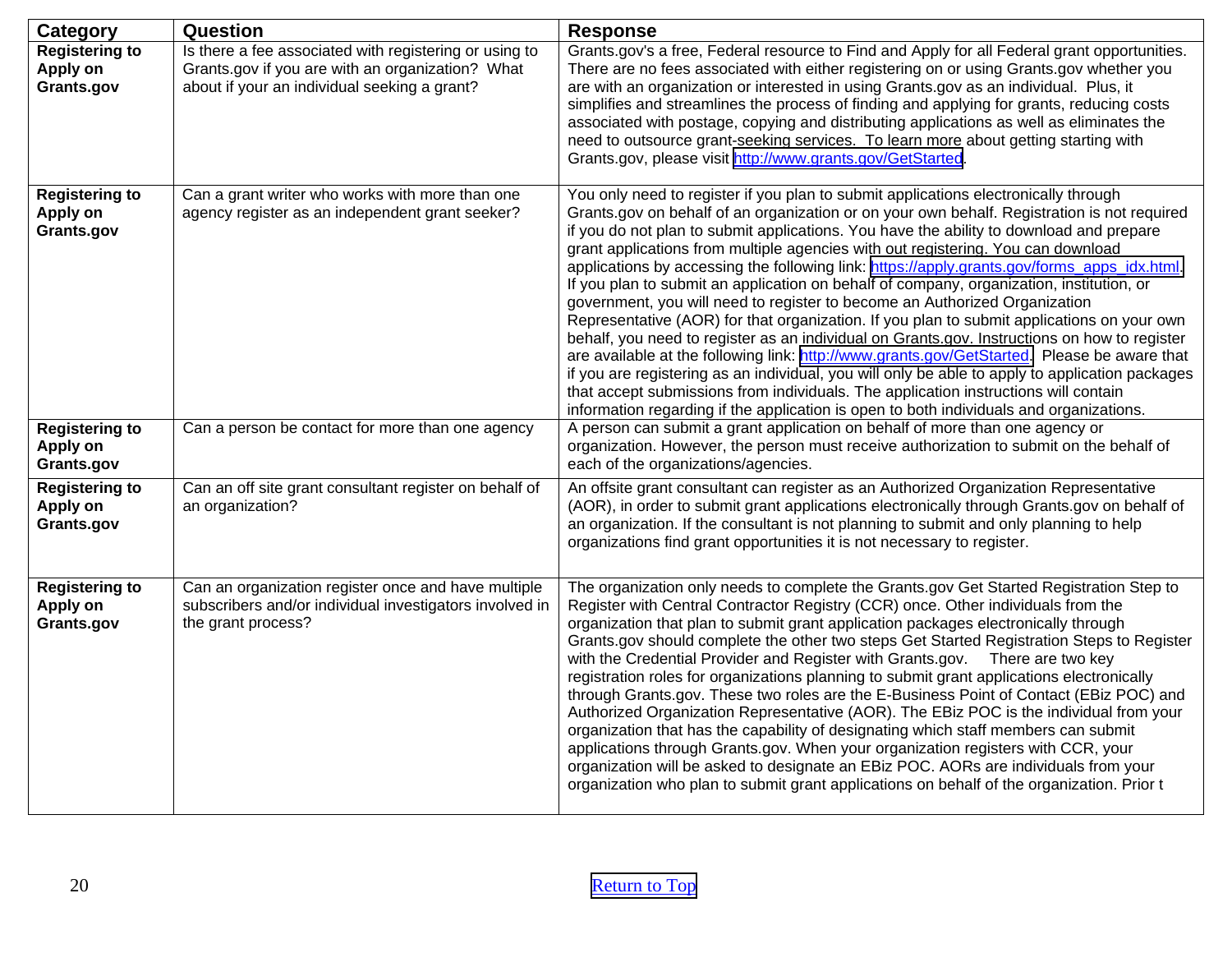<span id="page-19-0"></span>

| <b>Category</b>                                 | Question                                                                                                                                                   | <b>Response</b>                                                                                                                                                                                                                                                                                                                                                                                                                                                                                                                                                                                                                                                                                                                                                                                                                                                                                                                                                                                                                                                                                                                                                                                                              |
|-------------------------------------------------|------------------------------------------------------------------------------------------------------------------------------------------------------------|------------------------------------------------------------------------------------------------------------------------------------------------------------------------------------------------------------------------------------------------------------------------------------------------------------------------------------------------------------------------------------------------------------------------------------------------------------------------------------------------------------------------------------------------------------------------------------------------------------------------------------------------------------------------------------------------------------------------------------------------------------------------------------------------------------------------------------------------------------------------------------------------------------------------------------------------------------------------------------------------------------------------------------------------------------------------------------------------------------------------------------------------------------------------------------------------------------------------------|
| <b>Registering to</b><br>Apply on<br>Grants.gov | Is there a fee associated with registering or using to<br>Grants.gov if you are with an organization? What<br>about if your an individual seeking a grant? | Grants.gov's a free, Federal resource to Find and Apply for all Federal grant opportunities.<br>There are no fees associated with either registering on or using Grants.gov whether you<br>are with an organization or interested in using Grants.gov as an individual. Plus, it<br>simplifies and streamlines the process of finding and applying for grants, reducing costs<br>associated with postage, copying and distributing applications as well as eliminates the<br>need to outsource grant-seeking services. To learn more about getting starting with<br>Grants.gov, please visit http://www.grants.gov/GetStarted.                                                                                                                                                                                                                                                                                                                                                                                                                                                                                                                                                                                               |
| <b>Registering to</b><br>Apply on<br>Grants.gov | Can a grant writer who works with more than one<br>agency register as an independent grant seeker?                                                         | You only need to register if you plan to submit applications electronically through<br>Grants.gov on behalf of an organization or on your own behalf. Registration is not required<br>if you do not plan to submit applications. You have the ability to download and prepare<br>grant applications from multiple agencies with out registering. You can download<br>applications by accessing the following link: https://apply.grants.gov/forms_apps_idx.html.<br>If you plan to submit an application on behalf of company, organization, institution, or<br>government, you will need to register to become an Authorized Organization<br>Representative (AOR) for that organization. If you plan to submit applications on your own<br>behalf, you need to register as an individual on Grants.gov. Instructions on how to register<br>are available at the following link: http://www.grants.gov/GetStarted. Please be aware that<br>if you are registering as an individual, you will only be able to apply to application packages<br>that accept submissions from individuals. The application instructions will contain<br>information regarding if the application is open to both individuals and organizations. |
| <b>Registering to</b><br>Apply on<br>Grants.gov | Can a person be contact for more than one agency                                                                                                           | A person can submit a grant application on behalf of more than one agency or<br>organization. However, the person must receive authorization to submit on the behalf of<br>each of the organizations/agencies.                                                                                                                                                                                                                                                                                                                                                                                                                                                                                                                                                                                                                                                                                                                                                                                                                                                                                                                                                                                                               |
| <b>Registering to</b><br>Apply on<br>Grants.gov | Can an off site grant consultant register on behalf of<br>an organization?                                                                                 | An offsite grant consultant can register as an Authorized Organization Representative<br>(AOR), in order to submit grant applications electronically through Grants.gov on behalf of<br>an organization. If the consultant is not planning to submit and only planning to help<br>organizations find grant opportunities it is not necessary to register.                                                                                                                                                                                                                                                                                                                                                                                                                                                                                                                                                                                                                                                                                                                                                                                                                                                                    |
| <b>Registering to</b><br>Apply on<br>Grants.gov | Can an organization register once and have multiple<br>subscribers and/or individual investigators involved in<br>the grant process?                       | The organization only needs to complete the Grants.gov Get Started Registration Step to<br>Register with Central Contractor Registry (CCR) once. Other individuals from the<br>organization that plan to submit grant application packages electronically through<br>Grants.gov should complete the other two steps Get Started Registration Steps to Register<br>with the Credential Provider and Register with Grants.gov.  There are two key<br>registration roles for organizations planning to submit grant applications electronically<br>through Grants.gov. These two roles are the E-Business Point of Contact (EBiz POC) and<br>Authorized Organization Representative (AOR). The EBiz POC is the individual from your<br>organization that has the capability of designating which staff members can submit<br>applications through Grants.gov. When your organization registers with CCR, your<br>organization will be asked to designate an EBiz POC. AORs are individuals from your<br>organization who plan to submit grant applications on behalf of the organization. Prior t                                                                                                                               |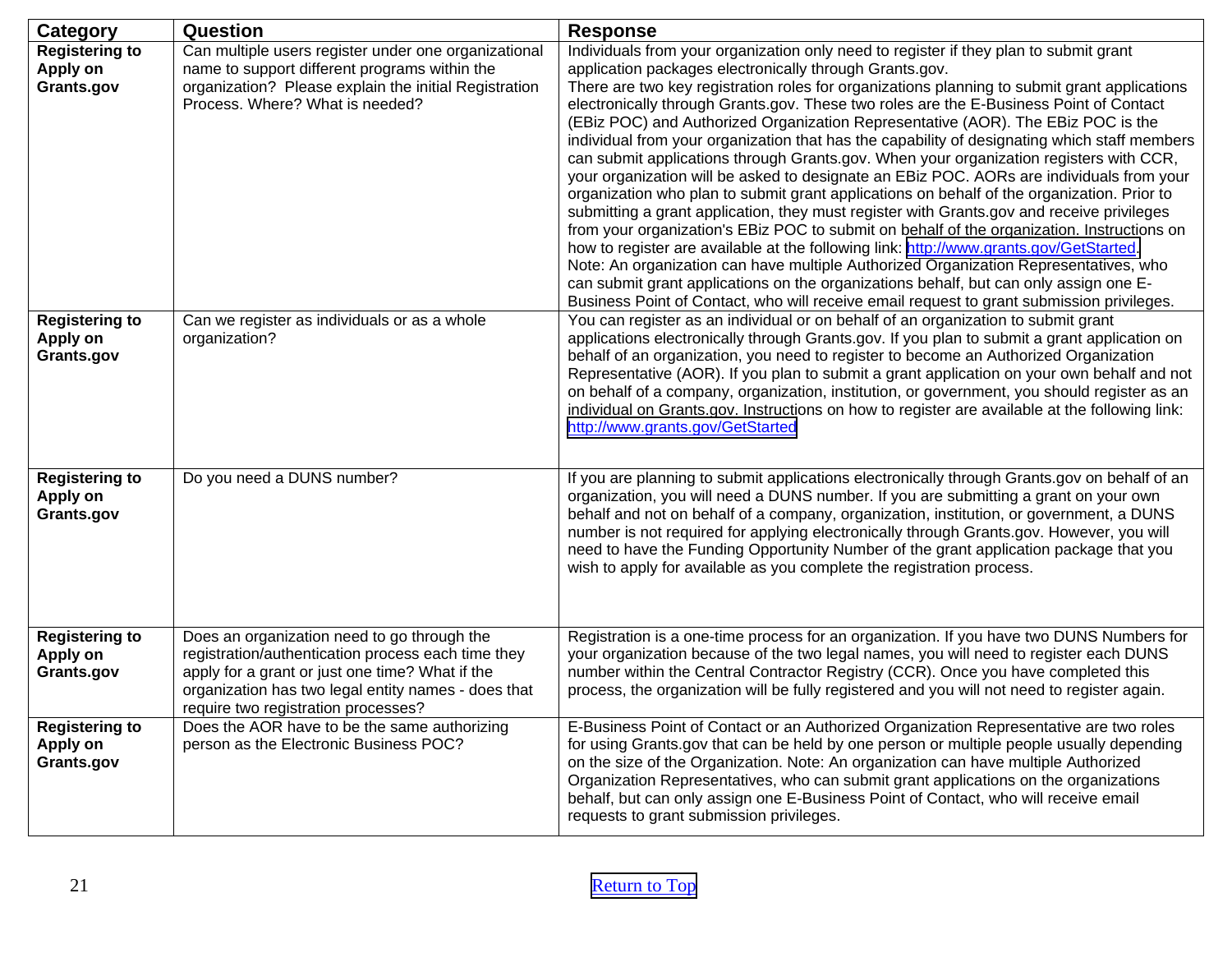| <b>Category</b>                                 | Question                                                                                                                                                                                                                                           | <b>Response</b>                                                                                                                                                                                                                                                                                                                                                                                                                                                                                                                                                                                                                                                                                                                                                                                                                                                                                                                                                                                                                                                                                                                                                                                                                                                                                                                                                                       |
|-------------------------------------------------|----------------------------------------------------------------------------------------------------------------------------------------------------------------------------------------------------------------------------------------------------|---------------------------------------------------------------------------------------------------------------------------------------------------------------------------------------------------------------------------------------------------------------------------------------------------------------------------------------------------------------------------------------------------------------------------------------------------------------------------------------------------------------------------------------------------------------------------------------------------------------------------------------------------------------------------------------------------------------------------------------------------------------------------------------------------------------------------------------------------------------------------------------------------------------------------------------------------------------------------------------------------------------------------------------------------------------------------------------------------------------------------------------------------------------------------------------------------------------------------------------------------------------------------------------------------------------------------------------------------------------------------------------|
| <b>Registering to</b><br>Apply on<br>Grants.gov | Can multiple users register under one organizational<br>name to support different programs within the<br>organization? Please explain the initial Registration<br>Process. Where? What is needed?                                                  | Individuals from your organization only need to register if they plan to submit grant<br>application packages electronically through Grants.gov.<br>There are two key registration roles for organizations planning to submit grant applications<br>electronically through Grants.gov. These two roles are the E-Business Point of Contact<br>(EBiz POC) and Authorized Organization Representative (AOR). The EBiz POC is the<br>individual from your organization that has the capability of designating which staff members<br>can submit applications through Grants.gov. When your organization registers with CCR,<br>your organization will be asked to designate an EBiz POC. AORs are individuals from your<br>organization who plan to submit grant applications on behalf of the organization. Prior to<br>submitting a grant application, they must register with Grants.gov and receive privileges<br>from your organization's EBiz POC to submit on behalf of the organization. Instructions on<br>how to register are available at the following link: http://www.grants.gov/GetStarted.<br>Note: An organization can have multiple Authorized Organization Representatives, who<br>can submit grant applications on the organizations behalf, but can only assign one E-<br>Business Point of Contact, who will receive email request to grant submission privileges. |
| <b>Registering to</b><br>Apply on<br>Grants.gov | Can we register as individuals or as a whole<br>organization?                                                                                                                                                                                      | You can register as an individual or on behalf of an organization to submit grant<br>applications electronically through Grants.gov. If you plan to submit a grant application on<br>behalf of an organization, you need to register to become an Authorized Organization<br>Representative (AOR). If you plan to submit a grant application on your own behalf and not<br>on behalf of a company, organization, institution, or government, you should register as an<br>individual on Grants.gov. Instructions on how to register are available at the following link:<br>http://www.grants.gov/GetStarted                                                                                                                                                                                                                                                                                                                                                                                                                                                                                                                                                                                                                                                                                                                                                                          |
| <b>Registering to</b><br>Apply on<br>Grants.gov | Do you need a DUNS number?                                                                                                                                                                                                                         | If you are planning to submit applications electronically through Grants.gov on behalf of an<br>organization, you will need a DUNS number. If you are submitting a grant on your own<br>behalf and not on behalf of a company, organization, institution, or government, a DUNS<br>number is not required for applying electronically through Grants.gov. However, you will<br>need to have the Funding Opportunity Number of the grant application package that you<br>wish to apply for available as you complete the registration process.                                                                                                                                                                                                                                                                                                                                                                                                                                                                                                                                                                                                                                                                                                                                                                                                                                         |
| <b>Registering to</b><br>Apply on<br>Grants.gov | Does an organization need to go through the<br>registration/authentication process each time they<br>apply for a grant or just one time? What if the<br>organization has two legal entity names - does that<br>require two registration processes? | Registration is a one-time process for an organization. If you have two DUNS Numbers for<br>your organization because of the two legal names, you will need to register each DUNS<br>number within the Central Contractor Registry (CCR). Once you have completed this<br>process, the organization will be fully registered and you will not need to register again.                                                                                                                                                                                                                                                                                                                                                                                                                                                                                                                                                                                                                                                                                                                                                                                                                                                                                                                                                                                                                 |
| <b>Registering to</b><br>Apply on<br>Grants.gov | Does the AOR have to be the same authorizing<br>person as the Electronic Business POC?                                                                                                                                                             | E-Business Point of Contact or an Authorized Organization Representative are two roles<br>for using Grants.gov that can be held by one person or multiple people usually depending<br>on the size of the Organization. Note: An organization can have multiple Authorized<br>Organization Representatives, who can submit grant applications on the organizations<br>behalf, but can only assign one E-Business Point of Contact, who will receive email<br>requests to grant submission privileges.                                                                                                                                                                                                                                                                                                                                                                                                                                                                                                                                                                                                                                                                                                                                                                                                                                                                                  |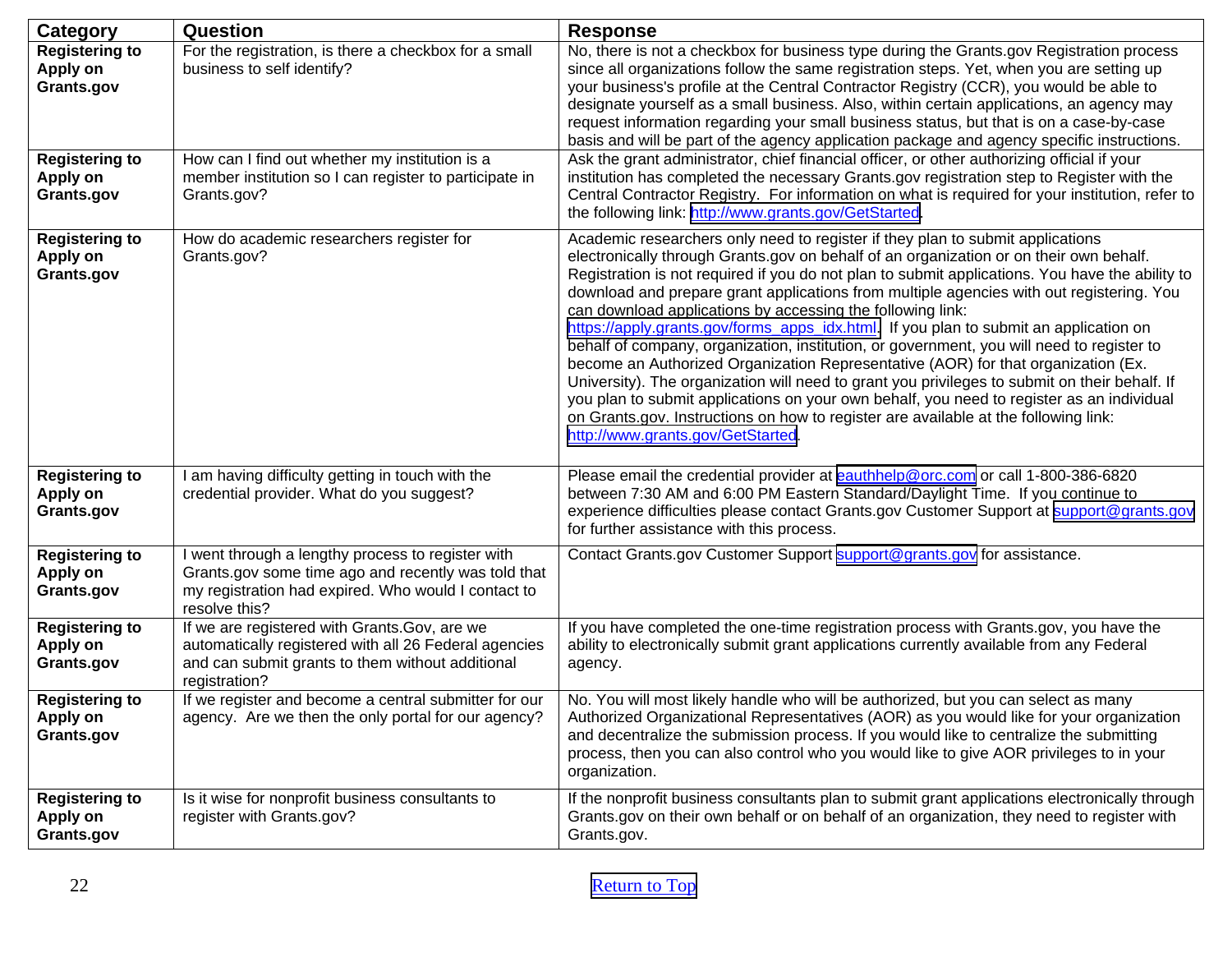| Category                                                                 | <b>Question</b>                                                                                                                                                                  | <b>Response</b>                                                                                                                                                                                                                                                                                                                                                                                                                                                                                                                                                                                                                                                                                                                                                                                                                                                                                                                                                                                                                           |
|--------------------------------------------------------------------------|----------------------------------------------------------------------------------------------------------------------------------------------------------------------------------|-------------------------------------------------------------------------------------------------------------------------------------------------------------------------------------------------------------------------------------------------------------------------------------------------------------------------------------------------------------------------------------------------------------------------------------------------------------------------------------------------------------------------------------------------------------------------------------------------------------------------------------------------------------------------------------------------------------------------------------------------------------------------------------------------------------------------------------------------------------------------------------------------------------------------------------------------------------------------------------------------------------------------------------------|
| <b>Registering to</b><br>Apply on<br>Grants.gov<br><b>Registering to</b> | For the registration, is there a checkbox for a small<br>business to self identify?<br>How can I find out whether my institution is a                                            | No, there is not a checkbox for business type during the Grants.gov Registration process<br>since all organizations follow the same registration steps. Yet, when you are setting up<br>your business's profile at the Central Contractor Registry (CCR), you would be able to<br>designate yourself as a small business. Also, within certain applications, an agency may<br>request information regarding your small business status, but that is on a case-by-case<br>basis and will be part of the agency application package and agency specific instructions.<br>Ask the grant administrator, chief financial officer, or other authorizing official if your                                                                                                                                                                                                                                                                                                                                                                        |
| Apply on<br>Grants.gov                                                   | member institution so I can register to participate in<br>Grants.gov?                                                                                                            | institution has completed the necessary Grants.gov registration step to Register with the<br>Central Contractor Registry. For information on what is required for your institution, refer to<br>the following link: http://www.grants.gov/GetStarted.                                                                                                                                                                                                                                                                                                                                                                                                                                                                                                                                                                                                                                                                                                                                                                                     |
| <b>Registering to</b><br>Apply on<br>Grants.gov                          | How do academic researchers register for<br>Grants.gov?                                                                                                                          | Academic researchers only need to register if they plan to submit applications<br>electronically through Grants.gov on behalf of an organization or on their own behalf.<br>Registration is not required if you do not plan to submit applications. You have the ability to<br>download and prepare grant applications from multiple agencies with out registering. You<br>can download applications by accessing the following link:<br>https://apply.grants.gov/forms_apps_idx.html. If you plan to submit an application on<br>behalf of company, organization, institution, or government, you will need to register to<br>become an Authorized Organization Representative (AOR) for that organization (Ex.<br>University). The organization will need to grant you privileges to submit on their behalf. If<br>you plan to submit applications on your own behalf, you need to register as an individual<br>on Grants.gov. Instructions on how to register are available at the following link:<br>http://www.grants.gov/GetStarted |
| <b>Registering to</b><br>Apply on<br>Grants.gov                          | I am having difficulty getting in touch with the<br>credential provider. What do you suggest?                                                                                    | Please email the credential provider at eauthhelp@orc.com or call 1-800-386-6820<br>between 7:30 AM and 6:00 PM Eastern Standard/Daylight Time. If you continue to<br>experience difficulties please contact Grants.gov Customer Support at support@grants.gov<br>for further assistance with this process.                                                                                                                                                                                                                                                                                                                                                                                                                                                                                                                                                                                                                                                                                                                               |
| <b>Registering to</b><br>Apply on<br>Grants.gov                          | I went through a lengthy process to register with<br>Grants.gov some time ago and recently was told that<br>my registration had expired. Who would I contact to<br>resolve this? | Contact Grants.gov Customer Support support@grants.gov for assistance.                                                                                                                                                                                                                                                                                                                                                                                                                                                                                                                                                                                                                                                                                                                                                                                                                                                                                                                                                                    |
| <b>Registering to</b><br>Apply on<br>Grants.gov                          | If we are registered with Grants. Gov, are we<br>automatically registered with all 26 Federal agencies<br>and can submit grants to them without additional<br>registration?      | If you have completed the one-time registration process with Grants.gov, you have the<br>ability to electronically submit grant applications currently available from any Federal<br>agency.                                                                                                                                                                                                                                                                                                                                                                                                                                                                                                                                                                                                                                                                                                                                                                                                                                              |
| <b>Registering to</b><br><b>Apply on</b><br>Grants.gov                   | If we register and become a central submitter for our<br>agency. Are we then the only portal for our agency?                                                                     | No. You will most likely handle who will be authorized, but you can select as many<br>Authorized Organizational Representatives (AOR) as you would like for your organization<br>and decentralize the submission process. If you would like to centralize the submitting<br>process, then you can also control who you would like to give AOR privileges to in your<br>organization.                                                                                                                                                                                                                                                                                                                                                                                                                                                                                                                                                                                                                                                      |
| <b>Registering to</b><br>Apply on<br>Grants.gov                          | Is it wise for nonprofit business consultants to<br>register with Grants.gov?                                                                                                    | If the nonprofit business consultants plan to submit grant applications electronically through<br>Grants.gov on their own behalf or on behalf of an organization, they need to register with<br>Grants.gov.                                                                                                                                                                                                                                                                                                                                                                                                                                                                                                                                                                                                                                                                                                                                                                                                                               |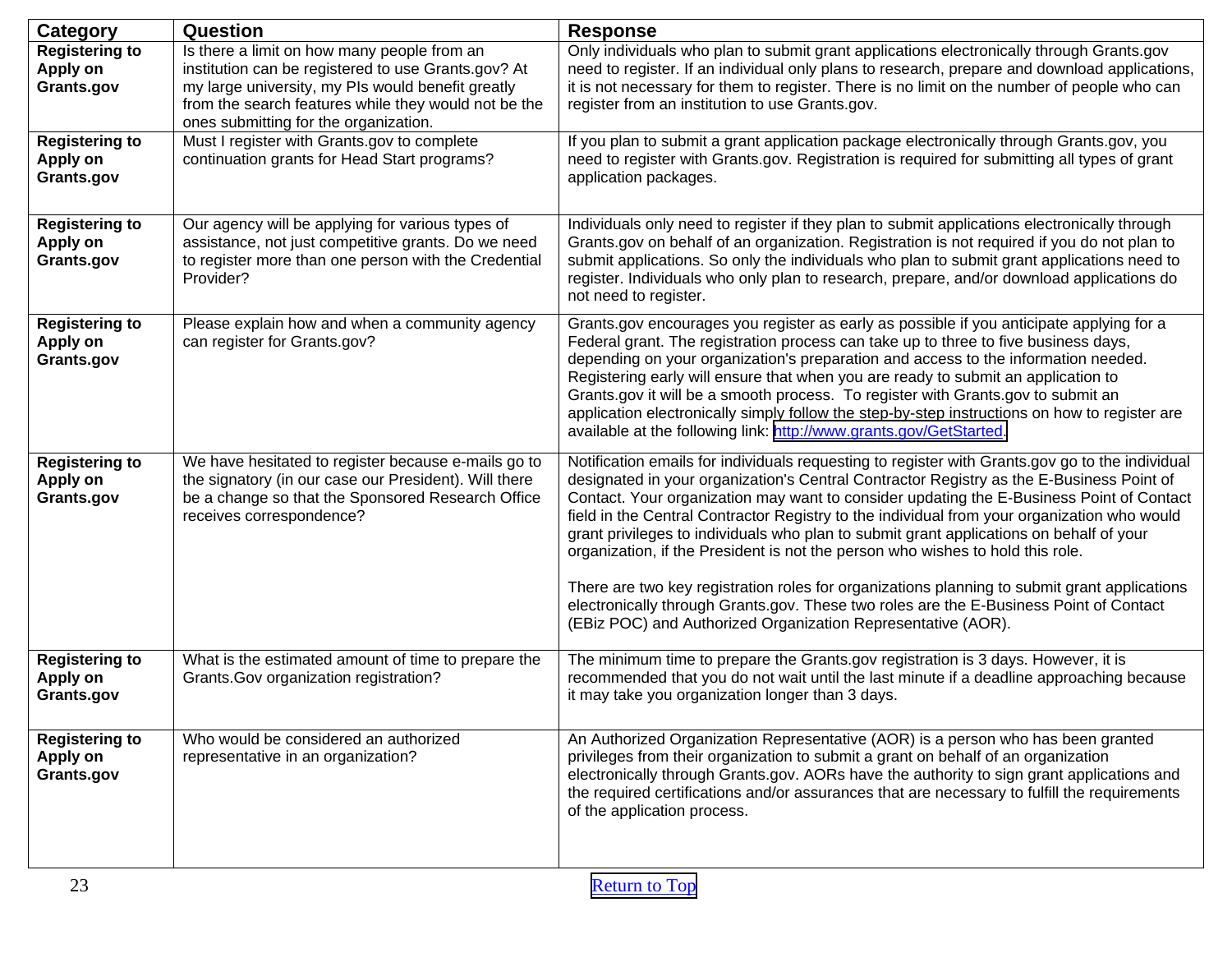| <b>Category</b>                                 | Question                                                                                                                                                                                                                                                 | <b>Response</b>                                                                                                                                                                                                                                                                                                                                                                                                                                                                                                                                                                                                                                                                                                                                                                                                               |
|-------------------------------------------------|----------------------------------------------------------------------------------------------------------------------------------------------------------------------------------------------------------------------------------------------------------|-------------------------------------------------------------------------------------------------------------------------------------------------------------------------------------------------------------------------------------------------------------------------------------------------------------------------------------------------------------------------------------------------------------------------------------------------------------------------------------------------------------------------------------------------------------------------------------------------------------------------------------------------------------------------------------------------------------------------------------------------------------------------------------------------------------------------------|
| <b>Registering to</b><br>Apply on<br>Grants.gov | Is there a limit on how many people from an<br>institution can be registered to use Grants.gov? At<br>my large university, my PIs would benefit greatly<br>from the search features while they would not be the<br>ones submitting for the organization. | Only individuals who plan to submit grant applications electronically through Grants.gov<br>need to register. If an individual only plans to research, prepare and download applications,<br>it is not necessary for them to register. There is no limit on the number of people who can<br>register from an institution to use Grants.gov.                                                                                                                                                                                                                                                                                                                                                                                                                                                                                   |
| <b>Registering to</b><br>Apply on<br>Grants.gov | Must I register with Grants.gov to complete<br>continuation grants for Head Start programs?                                                                                                                                                              | If you plan to submit a grant application package electronically through Grants.gov, you<br>need to register with Grants.gov. Registration is required for submitting all types of grant<br>application packages.                                                                                                                                                                                                                                                                                                                                                                                                                                                                                                                                                                                                             |
| <b>Registering to</b><br>Apply on<br>Grants.gov | Our agency will be applying for various types of<br>assistance, not just competitive grants. Do we need<br>to register more than one person with the Credential<br>Provider?                                                                             | Individuals only need to register if they plan to submit applications electronically through<br>Grants.gov on behalf of an organization. Registration is not required if you do not plan to<br>submit applications. So only the individuals who plan to submit grant applications need to<br>register. Individuals who only plan to research, prepare, and/or download applications do<br>not need to register.                                                                                                                                                                                                                                                                                                                                                                                                               |
| <b>Registering to</b><br>Apply on<br>Grants.gov | Please explain how and when a community agency<br>can register for Grants.gov?                                                                                                                                                                           | Grants.gov encourages you register as early as possible if you anticipate applying for a<br>Federal grant. The registration process can take up to three to five business days,<br>depending on your organization's preparation and access to the information needed.<br>Registering early will ensure that when you are ready to submit an application to<br>Grants.gov it will be a smooth process. To register with Grants.gov to submit an<br>application electronically simply follow the step-by-step instructions on how to register are<br>available at the following link: http://www.grants.gov/GetStarted.                                                                                                                                                                                                         |
| <b>Registering to</b><br>Apply on<br>Grants.gov | We have hesitated to register because e-mails go to<br>the signatory (in our case our President). Will there<br>be a change so that the Sponsored Research Office<br>receives correspondence?                                                            | Notification emails for individuals requesting to register with Grants.gov go to the individual<br>designated in your organization's Central Contractor Registry as the E-Business Point of<br>Contact. Your organization may want to consider updating the E-Business Point of Contact<br>field in the Central Contractor Registry to the individual from your organization who would<br>grant privileges to individuals who plan to submit grant applications on behalf of your<br>organization, if the President is not the person who wishes to hold this role.<br>There are two key registration roles for organizations planning to submit grant applications<br>electronically through Grants.gov. These two roles are the E-Business Point of Contact<br>(EBiz POC) and Authorized Organization Representative (AOR). |
| <b>Registering to</b><br>Apply on<br>Grants.gov | What is the estimated amount of time to prepare the<br>Grants. Gov organization registration?                                                                                                                                                            | The minimum time to prepare the Grants.gov registration is 3 days. However, it is<br>recommended that you do not wait until the last minute if a deadline approaching because<br>it may take you organization longer than 3 days.                                                                                                                                                                                                                                                                                                                                                                                                                                                                                                                                                                                             |
| <b>Registering to</b><br>Apply on<br>Grants.gov | Who would be considered an authorized<br>representative in an organization?                                                                                                                                                                              | An Authorized Organization Representative (AOR) is a person who has been granted<br>privileges from their organization to submit a grant on behalf of an organization<br>electronically through Grants.gov. AORs have the authority to sign grant applications and<br>the required certifications and/or assurances that are necessary to fulfill the requirements<br>of the application process.                                                                                                                                                                                                                                                                                                                                                                                                                             |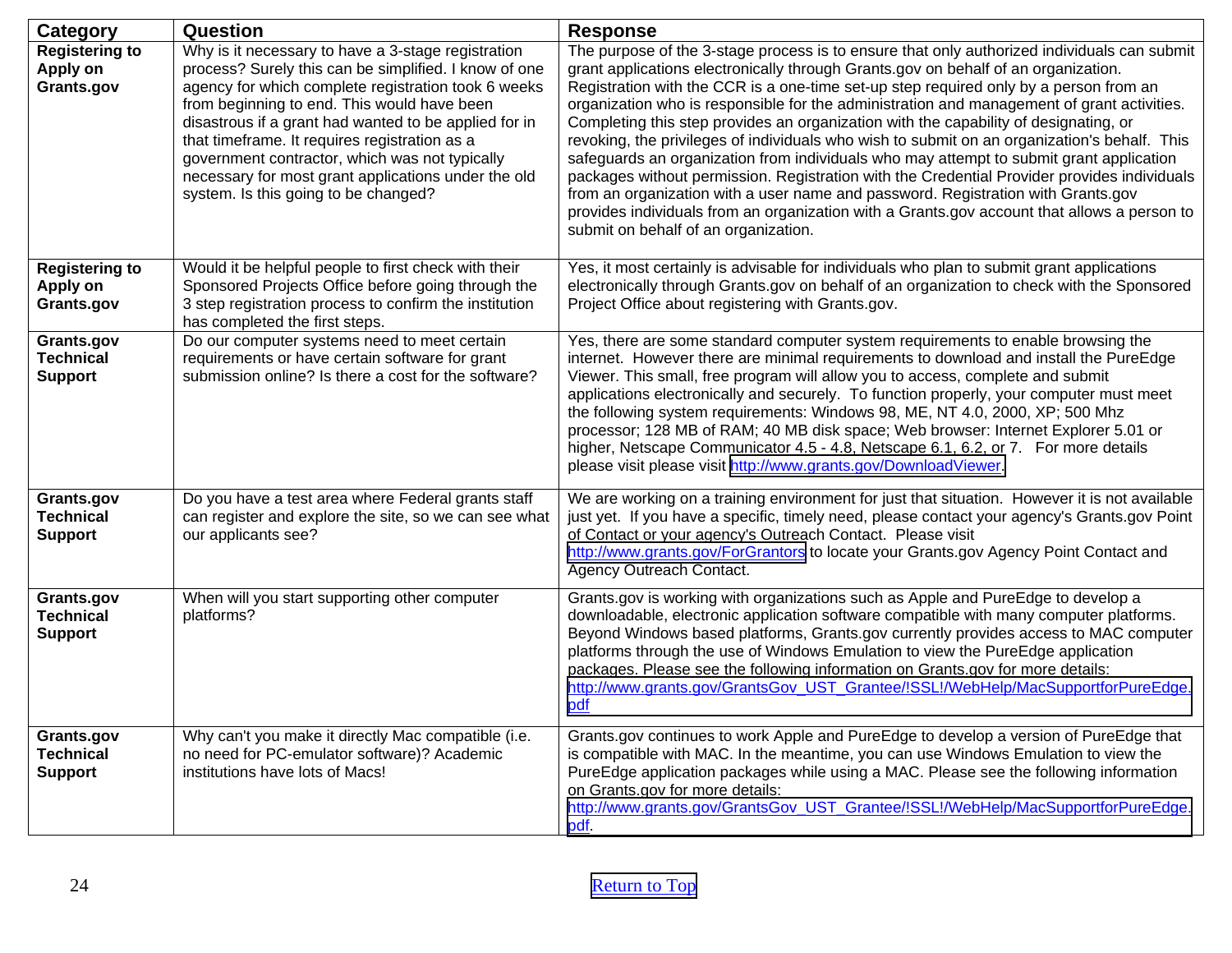<span id="page-23-0"></span>

| Category                                         | Question                                                                                                                                                                                                                                                                                                                                                                                                                                                                     | <b>Response</b>                                                                                                                                                                                                                                                                                                                                                                                                                                                                                                                                                                                                                                                                                                                                                                                                                                                                                                                                                                       |
|--------------------------------------------------|------------------------------------------------------------------------------------------------------------------------------------------------------------------------------------------------------------------------------------------------------------------------------------------------------------------------------------------------------------------------------------------------------------------------------------------------------------------------------|---------------------------------------------------------------------------------------------------------------------------------------------------------------------------------------------------------------------------------------------------------------------------------------------------------------------------------------------------------------------------------------------------------------------------------------------------------------------------------------------------------------------------------------------------------------------------------------------------------------------------------------------------------------------------------------------------------------------------------------------------------------------------------------------------------------------------------------------------------------------------------------------------------------------------------------------------------------------------------------|
| <b>Registering to</b><br>Apply on<br>Grants.gov  | Why is it necessary to have a 3-stage registration<br>process? Surely this can be simplified. I know of one<br>agency for which complete registration took 6 weeks<br>from beginning to end. This would have been<br>disastrous if a grant had wanted to be applied for in<br>that timeframe. It requires registration as a<br>government contractor, which was not typically<br>necessary for most grant applications under the old<br>system. Is this going to be changed? | The purpose of the 3-stage process is to ensure that only authorized individuals can submit<br>grant applications electronically through Grants.gov on behalf of an organization.<br>Registration with the CCR is a one-time set-up step required only by a person from an<br>organization who is responsible for the administration and management of grant activities.<br>Completing this step provides an organization with the capability of designating, or<br>revoking, the privileges of individuals who wish to submit on an organization's behalf. This<br>safeguards an organization from individuals who may attempt to submit grant application<br>packages without permission. Registration with the Credential Provider provides individuals<br>from an organization with a user name and password. Registration with Grants.gov<br>provides individuals from an organization with a Grants.gov account that allows a person to<br>submit on behalf of an organization. |
| <b>Registering to</b><br>Apply on<br>Grants.gov  | Would it be helpful people to first check with their<br>Sponsored Projects Office before going through the<br>3 step registration process to confirm the institution<br>has completed the first steps.                                                                                                                                                                                                                                                                       | Yes, it most certainly is advisable for individuals who plan to submit grant applications<br>electronically through Grants.gov on behalf of an organization to check with the Sponsored<br>Project Office about registering with Grants.gov.                                                                                                                                                                                                                                                                                                                                                                                                                                                                                                                                                                                                                                                                                                                                          |
| Grants.gov<br><b>Technical</b><br><b>Support</b> | Do our computer systems need to meet certain<br>requirements or have certain software for grant<br>submission online? Is there a cost for the software?                                                                                                                                                                                                                                                                                                                      | Yes, there are some standard computer system requirements to enable browsing the<br>internet. However there are minimal requirements to download and install the PureEdge<br>Viewer. This small, free program will allow you to access, complete and submit<br>applications electronically and securely. To function properly, your computer must meet<br>the following system requirements: Windows 98, ME, NT 4.0, 2000, XP; 500 Mhz<br>processor; 128 MB of RAM; 40 MB disk space; Web browser: Internet Explorer 5.01 or<br>higher, Netscape Communicator 4.5 - 4.8, Netscape 6.1, 6.2, or 7. For more details<br>please visit please visit http://www.grants.gov/DownloadViewer.                                                                                                                                                                                                                                                                                                 |
| Grants.gov<br><b>Technical</b><br><b>Support</b> | Do you have a test area where Federal grants staff<br>can register and explore the site, so we can see what<br>our applicants see?                                                                                                                                                                                                                                                                                                                                           | We are working on a training environment for just that situation. However it is not available<br>just yet. If you have a specific, timely need, please contact your agency's Grants.gov Point<br>of Contact or your agency's Outreach Contact. Please visit<br>http://www.grants.gov/ForGrantors to locate your Grants.gov Agency Point Contact and<br>Agency Outreach Contact.                                                                                                                                                                                                                                                                                                                                                                                                                                                                                                                                                                                                       |
| Grants.gov<br><b>Technical</b><br><b>Support</b> | When will you start supporting other computer<br>platforms?                                                                                                                                                                                                                                                                                                                                                                                                                  | Grants.gov is working with organizations such as Apple and PureEdge to develop a<br>downloadable, electronic application software compatible with many computer platforms.<br>Beyond Windows based platforms, Grants.gov currently provides access to MAC computer<br>platforms through the use of Windows Emulation to view the PureEdge application<br>packages. Please see the following information on Grants.gov for more details:<br>http://www.grants.gov/GrantsGov UST Grantee/!SSL!/WebHelp/MacSupportforPureEdge.<br>pdf                                                                                                                                                                                                                                                                                                                                                                                                                                                    |
| Grants.gov<br><b>Technical</b><br><b>Support</b> | Why can't you make it directly Mac compatible (i.e.<br>no need for PC-emulator software)? Academic<br>institutions have lots of Macs!                                                                                                                                                                                                                                                                                                                                        | Grants.gov continues to work Apple and PureEdge to develop a version of PureEdge that<br>is compatible with MAC. In the meantime, you can use Windows Emulation to view the<br>PureEdge application packages while using a MAC. Please see the following information<br>on Grants.gov for more details:<br>http://www.grants.gov/GrantsGov_UST_Grantee/!SSL!/WebHelp/MacSupportforPureEdge.<br>pdf.                                                                                                                                                                                                                                                                                                                                                                                                                                                                                                                                                                                   |